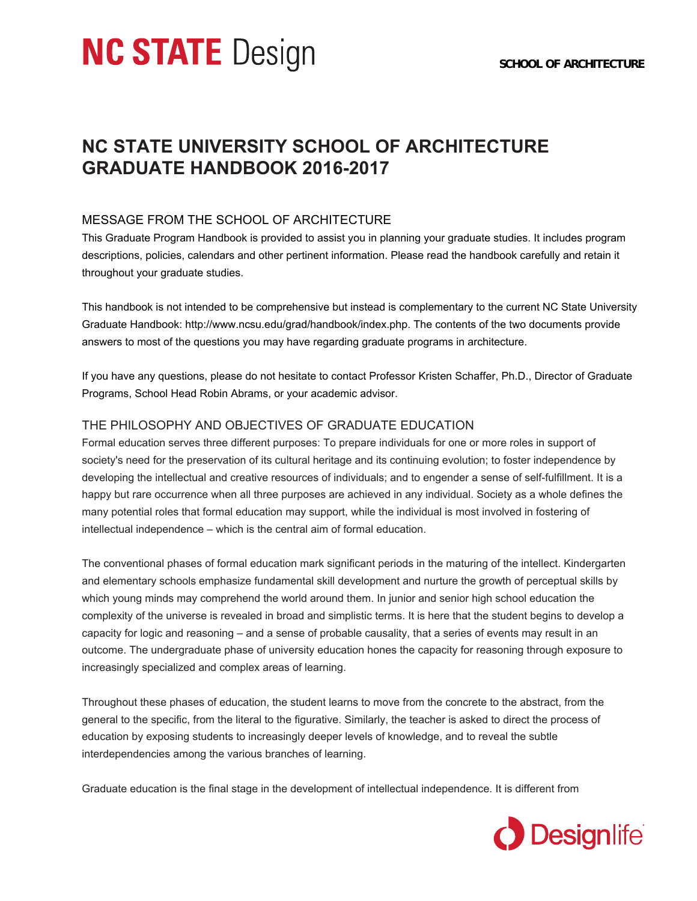# **NC STATE** Design

## **NC STATE UNIVERSITY SCHOOL OF ARCHITECTURE GRADUATE HANDBOOK 2016-2017**

## MESSAGE FROM THE SCHOOL OF ARCHITECTURE

This Graduate Program Handbook is provided to assist you in planning your graduate studies. It includes program descriptions, policies, calendars and other pertinent information. Please read the handbook carefully and retain it throughout your graduate studies.

This handbook is not intended to be comprehensive but instead is complementary to the current NC State University Graduate Handbook: http://www.ncsu.edu/grad/handbook/index.php. The contents of the two documents provide answers to most of the questions you may have regarding graduate programs in architecture.

If you have any questions, please do not hesitate to contact Professor Kristen Schaffer, Ph.D., Director of Graduate Programs, School Head Robin Abrams, or your academic advisor.

## THE PHILOSOPHY AND OBJECTIVES OF GRADUATE EDUCATION

Formal education serves three different purposes: To prepare individuals for one or more roles in support of society's need for the preservation of its cultural heritage and its continuing evolution; to foster independence by developing the intellectual and creative resources of individuals; and to engender a sense of self-fulfillment. It is a happy but rare occurrence when all three purposes are achieved in any individual. Society as a whole defines the many potential roles that formal education may support, while the individual is most involved in fostering of intellectual independence – which is the central aim of formal education.

The conventional phases of formal education mark significant periods in the maturing of the intellect. Kindergarten and elementary schools emphasize fundamental skill development and nurture the growth of perceptual skills by which young minds may comprehend the world around them. In junior and senior high school education the complexity of the universe is revealed in broad and simplistic terms. It is here that the student begins to develop a capacity for logic and reasoning – and a sense of probable causality, that a series of events may result in an outcome. The undergraduate phase of university education hones the capacity for reasoning through exposure to increasingly specialized and complex areas of learning.

Throughout these phases of education, the student learns to move from the concrete to the abstract, from the general to the specific, from the literal to the figurative. Similarly, the teacher is asked to direct the process of education by exposing students to increasingly deeper levels of knowledge, and to reveal the subtle interdependencies among the various branches of learning.

Graduate education is the final stage in the development of intellectual independence. It is different from

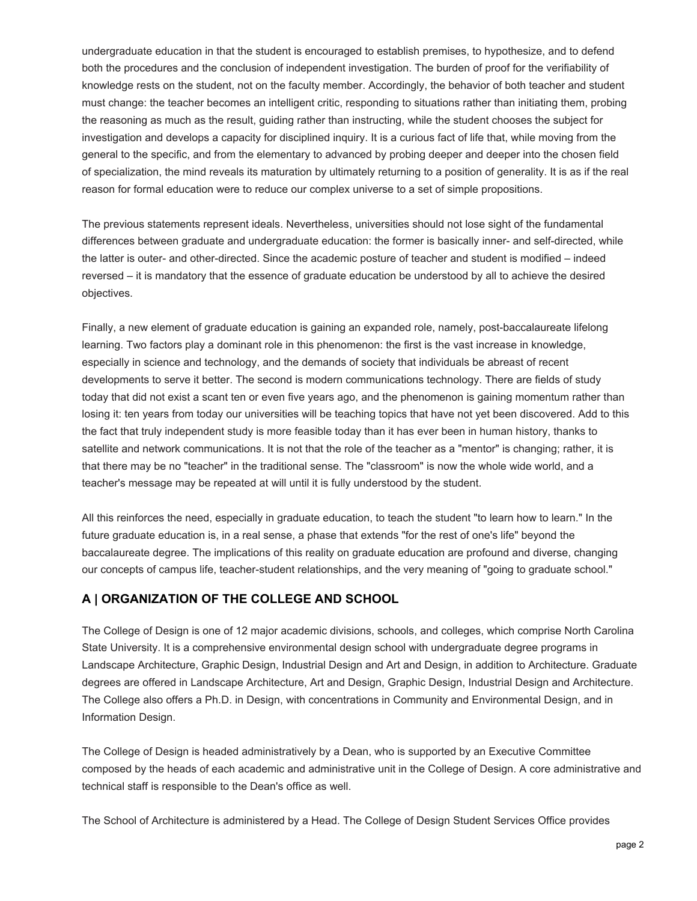undergraduate education in that the student is encouraged to establish premises, to hypothesize, and to defend both the procedures and the conclusion of independent investigation. The burden of proof for the verifiability of knowledge rests on the student, not on the faculty member. Accordingly, the behavior of both teacher and student must change: the teacher becomes an intelligent critic, responding to situations rather than initiating them, probing the reasoning as much as the result, guiding rather than instructing, while the student chooses the subject for investigation and develops a capacity for disciplined inquiry. It is a curious fact of life that, while moving from the general to the specific, and from the elementary to advanced by probing deeper and deeper into the chosen field of specialization, the mind reveals its maturation by ultimately returning to a position of generality. It is as if the real reason for formal education were to reduce our complex universe to a set of simple propositions.

The previous statements represent ideals. Nevertheless, universities should not lose sight of the fundamental differences between graduate and undergraduate education: the former is basically inner- and self-directed, while the latter is outer- and other-directed. Since the academic posture of teacher and student is modified – indeed reversed – it is mandatory that the essence of graduate education be understood by all to achieve the desired objectives.

Finally, a new element of graduate education is gaining an expanded role, namely, post-baccalaureate lifelong learning. Two factors play a dominant role in this phenomenon: the first is the vast increase in knowledge, especially in science and technology, and the demands of society that individuals be abreast of recent developments to serve it better. The second is modern communications technology. There are fields of study today that did not exist a scant ten or even five years ago, and the phenomenon is gaining momentum rather than losing it: ten years from today our universities will be teaching topics that have not yet been discovered. Add to this the fact that truly independent study is more feasible today than it has ever been in human history, thanks to satellite and network communications. It is not that the role of the teacher as a "mentor" is changing; rather, it is that there may be no "teacher" in the traditional sense. The "classroom" is now the whole wide world, and a teacher's message may be repeated at will until it is fully understood by the student.

All this reinforces the need, especially in graduate education, to teach the student "to learn how to learn." In the future graduate education is, in a real sense, a phase that extends "for the rest of one's life" beyond the baccalaureate degree. The implications of this reality on graduate education are profound and diverse, changing our concepts of campus life, teacher-student relationships, and the very meaning of "going to graduate school."

## **A | ORGANIZATION OF THE COLLEGE AND SCHOOL**

The College of Design is one of 12 major academic divisions, schools, and colleges, which comprise North Carolina State University. It is a comprehensive environmental design school with undergraduate degree programs in Landscape Architecture, Graphic Design, Industrial Design and Art and Design, in addition to Architecture. Graduate degrees are offered in Landscape Architecture, Art and Design, Graphic Design, Industrial Design and Architecture. The College also offers a Ph.D. in Design, with concentrations in Community and Environmental Design, and in Information Design.

The College of Design is headed administratively by a Dean, who is supported by an Executive Committee composed by the heads of each academic and administrative unit in the College of Design. A core administrative and technical staff is responsible to the Dean's office as well.

The School of Architecture is administered by a Head. The College of Design Student Services Office provides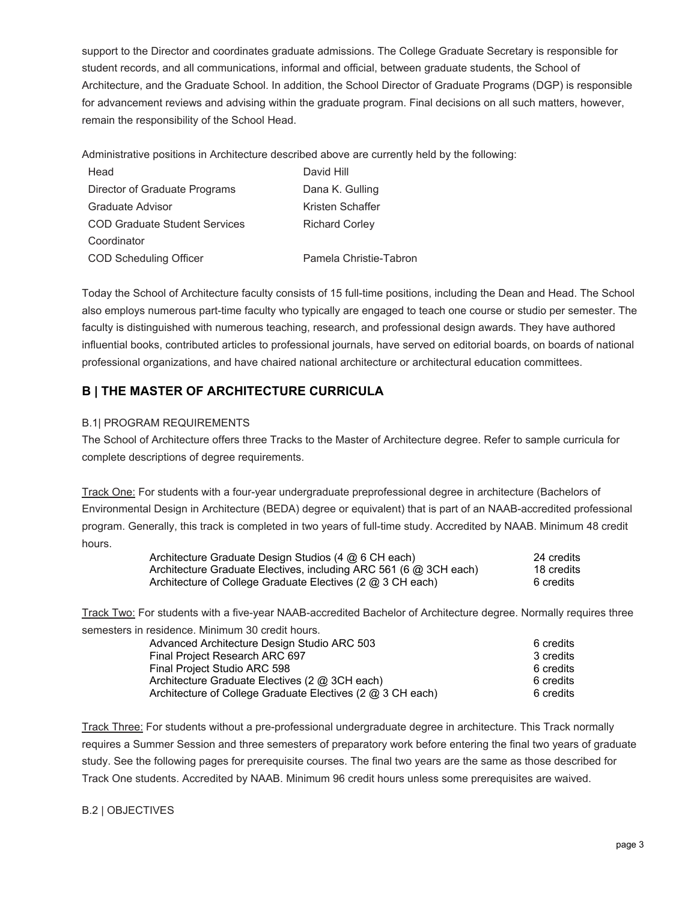support to the Director and coordinates graduate admissions. The College Graduate Secretary is responsible for student records, and all communications, informal and official, between graduate students, the School of Architecture, and the Graduate School. In addition, the School Director of Graduate Programs (DGP) is responsible for advancement reviews and advising within the graduate program. Final decisions on all such matters, however, remain the responsibility of the School Head.

Administrative positions in Architecture described above are currently held by the following:

| Head                                 | David Hill             |
|--------------------------------------|------------------------|
| Director of Graduate Programs        | Dana K. Gulling        |
| Graduate Advisor                     | Kristen Schaffer       |
| <b>COD Graduate Student Services</b> | <b>Richard Corley</b>  |
| Coordinator                          |                        |
| <b>COD Scheduling Officer</b>        | Pamela Christie-Tabron |

Today the School of Architecture faculty consists of 15 full-time positions, including the Dean and Head. The School also employs numerous part-time faculty who typically are engaged to teach one course or studio per semester. The faculty is distinguished with numerous teaching, research, and professional design awards. They have authored influential books, contributed articles to professional journals, have served on editorial boards, on boards of national professional organizations, and have chaired national architecture or architectural education committees.

## **B | THE MASTER OF ARCHITECTURE CURRICULA**

#### B.1| PROGRAM REQUIREMENTS

The School of Architecture offers three Tracks to the Master of Architecture degree. Refer to sample curricula for complete descriptions of degree requirements.

Track One: For students with a four-year undergraduate preprofessional degree in architecture (Bachelors of Environmental Design in Architecture (BEDA) degree or equivalent) that is part of an NAAB-accredited professional program. Generally, this track is completed in two years of full-time study. Accredited by NAAB. Minimum 48 credit hours.

| Architecture Graduate Design Studios (4 $@$ 6 CH each)              | 24 credits |
|---------------------------------------------------------------------|------------|
| Architecture Graduate Electives, including ARC 561 (6 $@$ 3CH each) | 18 credits |
| Architecture of College Graduate Electives (2 $@$ 3 CH each)        | 6 credits  |

Track Two: For students with a five-year NAAB-accredited Bachelor of Architecture degree. Normally requires three semesters in residence. Minimum 30 credit hours.

| Advanced Architecture Design Studio ARC 503                | 6 credits |
|------------------------------------------------------------|-----------|
| Final Project Research ARC 697                             | 3 credits |
| Final Project Studio ARC 598                               | 6 credits |
| Architecture Graduate Electives (2 @ 3CH each)             | 6 credits |
| Architecture of College Graduate Electives (2 @ 3 CH each) | 6 credits |

Track Three: For students without a pre-professional undergraduate degree in architecture. This Track normally requires a Summer Session and three semesters of preparatory work before entering the final two years of graduate study. See the following pages for prerequisite courses. The final two years are the same as those described for Track One students. Accredited by NAAB. Minimum 96 credit hours unless some prerequisites are waived.

#### B.2 | OBJECTIVES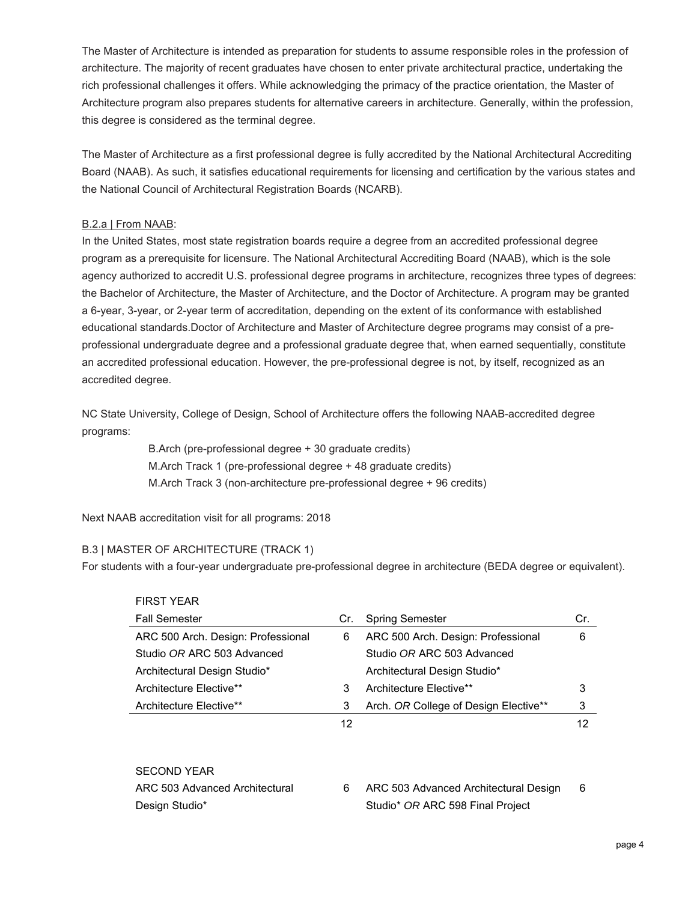The Master of Architecture is intended as preparation for students to assume responsible roles in the profession of architecture. The majority of recent graduates have chosen to enter private architectural practice, undertaking the rich professional challenges it offers. While acknowledging the primacy of the practice orientation, the Master of Architecture program also prepares students for alternative careers in architecture. Generally, within the profession, this degree is considered as the terminal degree.

The Master of Architecture as a first professional degree is fully accredited by the National Architectural Accrediting Board (NAAB). As such, it satisfies educational requirements for licensing and certification by the various states and the National Council of Architectural Registration Boards (NCARB).

#### B.2.a | From NAAB:

In the United States, most state registration boards require a degree from an accredited professional degree program as a prerequisite for licensure. The National Architectural Accrediting Board (NAAB), which is the sole agency authorized to accredit U.S. professional degree programs in architecture, recognizes three types of degrees: the Bachelor of Architecture, the Master of Architecture, and the Doctor of Architecture. A program may be granted a 6-year, 3-year, or 2-year term of accreditation, depending on the extent of its conformance with established educational standards.Doctor of Architecture and Master of Architecture degree programs may consist of a preprofessional undergraduate degree and a professional graduate degree that, when earned sequentially, constitute an accredited professional education. However, the pre-professional degree is not, by itself, recognized as an accredited degree.

NC State University, College of Design, School of Architecture offers the following NAAB-accredited degree programs:

> B.Arch (pre-professional degree + 30 graduate credits) M.Arch Track 1 (pre-professional degree + 48 graduate credits) M.Arch Track 3 (non-architecture pre-professional degree + 96 credits)

Next NAAB accreditation visit for all programs: 2018

#### B.3 | MASTER OF ARCHITECTURE (TRACK 1)

For students with a four-year undergraduate pre-professional degree in architecture (BEDA degree or equivalent).

| <b>FIRST YEAR</b>                  |     |                                       |     |
|------------------------------------|-----|---------------------------------------|-----|
| <b>Fall Semester</b>               | Cr. | <b>Spring Semester</b>                | Cr. |
| ARC 500 Arch. Design: Professional | 6   | ARC 500 Arch. Design: Professional    | 6   |
| Studio OR ARC 503 Advanced         |     | Studio OR ARC 503 Advanced            |     |
| Architectural Design Studio*       |     | Architectural Design Studio*          |     |
| Architecture Elective**            | 3   | Architecture Elective**               | 3   |
| Architecture Elective**            | 3   | Arch. OR College of Design Elective** | 3   |
|                                    | 12  |                                       | 12  |
|                                    |     |                                       |     |
| <b>SECOND YEAR</b>                 |     |                                       |     |
| ARC 503 Advanced Architectural     | 6   | ARC 503 Advanced Architectural Design | 6   |
| Design Studio*                     |     | Studio* OR ARC 598 Final Project      |     |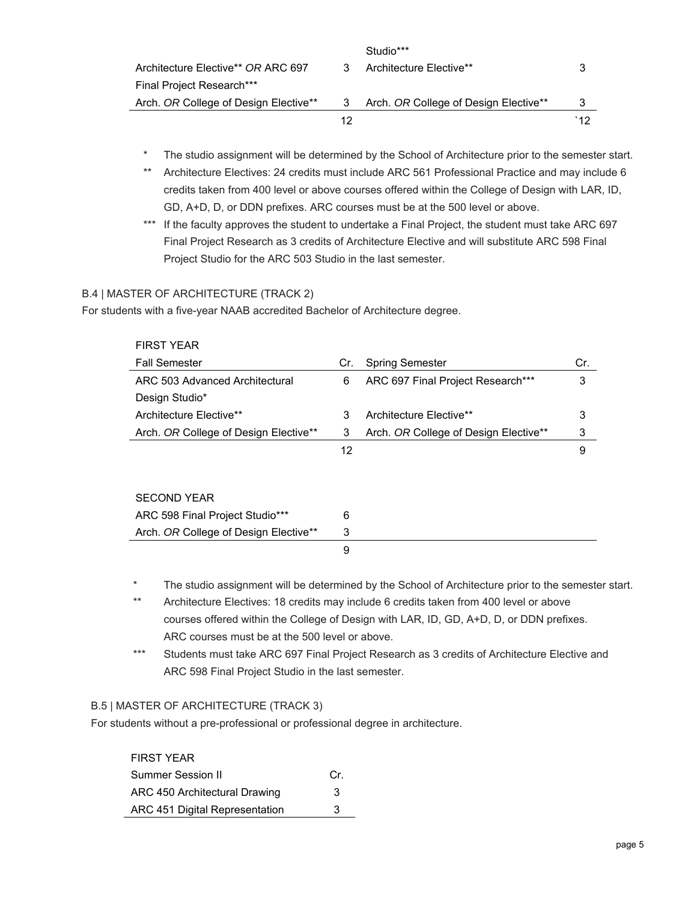|                                       |    | Studio***                             |      |
|---------------------------------------|----|---------------------------------------|------|
| Architecture Elective** OR ARC 697    |    | Architecture Elective**               |      |
| <b>Final Project Research***</b>      |    |                                       |      |
| Arch. OR College of Design Elective** |    | Arch. OR College of Design Elective** | 3    |
|                                       | 12 |                                       | `1 2 |

- The studio assignment will be determined by the School of Architecture prior to the semester start.
- \*\* Architecture Electives: 24 credits must include ARC 561 Professional Practice and may include 6 credits taken from 400 level or above courses offered within the College of Design with LAR, ID, GD, A+D, D, or DDN prefixes. ARC courses must be at the 500 level or above.
- \*\*\* If the faculty approves the student to undertake a Final Project, the student must take ARC 697 Final Project Research as 3 credits of Architecture Elective and will substitute ARC 598 Final Project Studio for the ARC 503 Studio in the last semester.

#### B.4 | MASTER OF ARCHITECTURE (TRACK 2)

For students with a five-year NAAB accredited Bachelor of Architecture degree.

| <b>FIRST YEAR</b>                     |     |                                       |     |
|---------------------------------------|-----|---------------------------------------|-----|
| <b>Fall Semester</b>                  | Cr. | <b>Spring Semester</b>                | Cr. |
| ARC 503 Advanced Architectural        | 6   | ARC 697 Final Project Research***     | 3   |
| Design Studio*                        |     |                                       |     |
| Architecture Elective**               | 3   | Architecture Elective**               | 3   |
| Arch. OR College of Design Elective** | 3   | Arch. OR College of Design Elective** | 3   |
|                                       | 12  |                                       | 9   |
|                                       |     |                                       |     |
|                                       |     |                                       |     |
| <b>SECOND YEAR</b>                    |     |                                       |     |
| ARC 598 Final Project Studio***       | 6   |                                       |     |
| Arch. OR College of Design Elective** | 3   |                                       |     |
|                                       | 9   |                                       |     |
|                                       |     |                                       |     |

- The studio assignment will be determined by the School of Architecture prior to the semester start.
- \*\* Architecture Electives: 18 credits may include 6 credits taken from 400 level or above courses offered within the College of Design with LAR, ID, GD, A+D, D, or DDN prefixes. ARC courses must be at the 500 level or above.
- \*\*\* Students must take ARC 697 Final Project Research as 3 credits of Architecture Elective and ARC 598 Final Project Studio in the last semester.

#### B.5 | MASTER OF ARCHITECTURE (TRACK 3)

For students without a pre-professional or professional degree in architecture.

#### FIRST YEAR

| Summer Session II              | Cr. |
|--------------------------------|-----|
| ARC 450 Architectural Drawing  | з   |
| ARC 451 Digital Representation | 3   |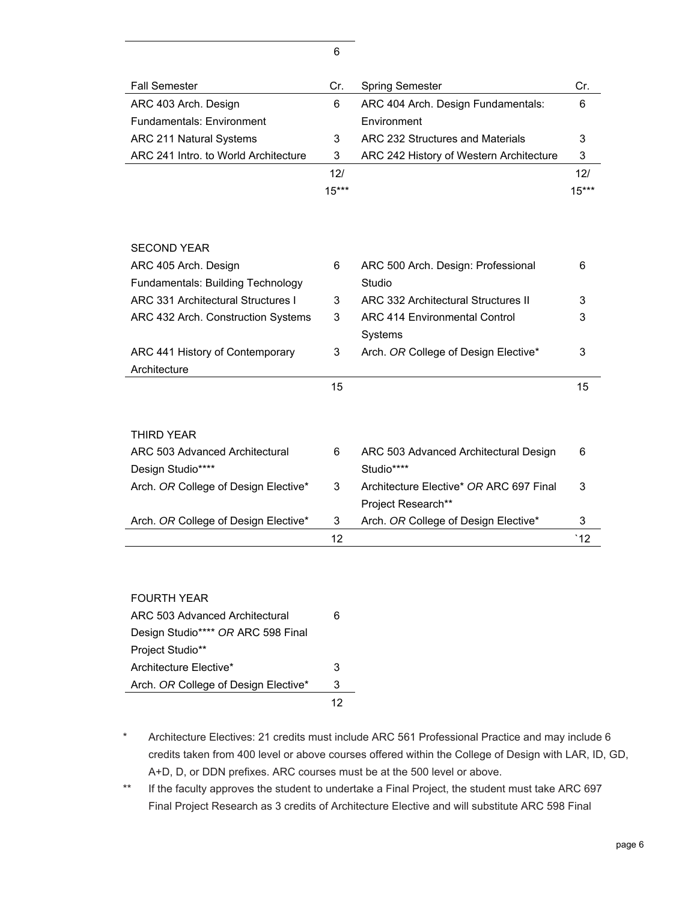| <b>Fall Semester</b>                      | Cr.             | <b>Spring Semester</b>                  | Cr.          |
|-------------------------------------------|-----------------|-----------------------------------------|--------------|
| ARC 403 Arch. Design                      | 6               | ARC 404 Arch. Design Fundamentals:      | 6            |
| <b>Fundamentals: Environment</b>          |                 | Environment                             |              |
| ARC 211 Natural Systems                   | 3               | ARC 232 Structures and Materials        | 3            |
| ARC 241 Intro. to World Architecture      | 3               | ARC 242 History of Western Architecture | 3            |
|                                           | 12 <sub>l</sub> |                                         | 12/          |
|                                           | $15***$         |                                         | $15***$      |
|                                           |                 |                                         |              |
|                                           |                 |                                         |              |
| <b>SECOND YEAR</b>                        |                 |                                         |              |
| ARC 405 Arch. Design                      | 6               | ARC 500 Arch. Design: Professional      | 6            |
| Fundamentals: Building Technology         |                 | Studio                                  |              |
| <b>ARC 331 Architectural Structures I</b> | 3               | ARC 332 Architectural Structures II     | 3            |
|                                           |                 |                                         |              |
| ARC 432 Arch. Construction Systems        | 3               | <b>ARC 414 Environmental Control</b>    | 3            |
|                                           |                 | Systems                                 |              |
| ARC 441 History of Contemporary           | 3               | Arch. OR College of Design Elective*    | 3            |
| Architecture                              |                 |                                         |              |
|                                           | 15              |                                         | 15           |
|                                           |                 |                                         |              |
|                                           |                 |                                         |              |
| <b>THIRD YEAR</b>                         |                 |                                         |              |
| ARC 503 Advanced Architectural            | 6               | ARC 503 Advanced Architectural Design   | 6            |
| Design Studio****                         |                 | Studio****                              |              |
| Arch. OR College of Design Elective*      | 3               | Architecture Elective* OR ARC 697 Final | 3            |
|                                           |                 | Project Research**                      |              |
| Arch. OR College of Design Elective*      | 3               | Arch. OR College of Design Elective*    | 3            |
|                                           | 12              |                                         | $^{\circ}12$ |
|                                           |                 |                                         |              |

6

| <b>FOURTH YEAR</b>                   |   |
|--------------------------------------|---|
| ARC 503 Advanced Architectural       | 6 |
| Design Studio**** OR ARC 598 Final   |   |
| Project Studio**                     |   |
| Architecture Flective*               | 3 |
| Arch. OR College of Design Elective* | 3 |
|                                      |   |

- \* Architecture Electives: 21 credits must include ARC 561 Professional Practice and may include 6 credits taken from 400 level or above courses offered within the College of Design with LAR, ID, GD, A+D, D, or DDN prefixes. ARC courses must be at the 500 level or above.
- \*\* If the faculty approves the student to undertake a Final Project, the student must take ARC 697 Final Project Research as 3 credits of Architecture Elective and will substitute ARC 598 Final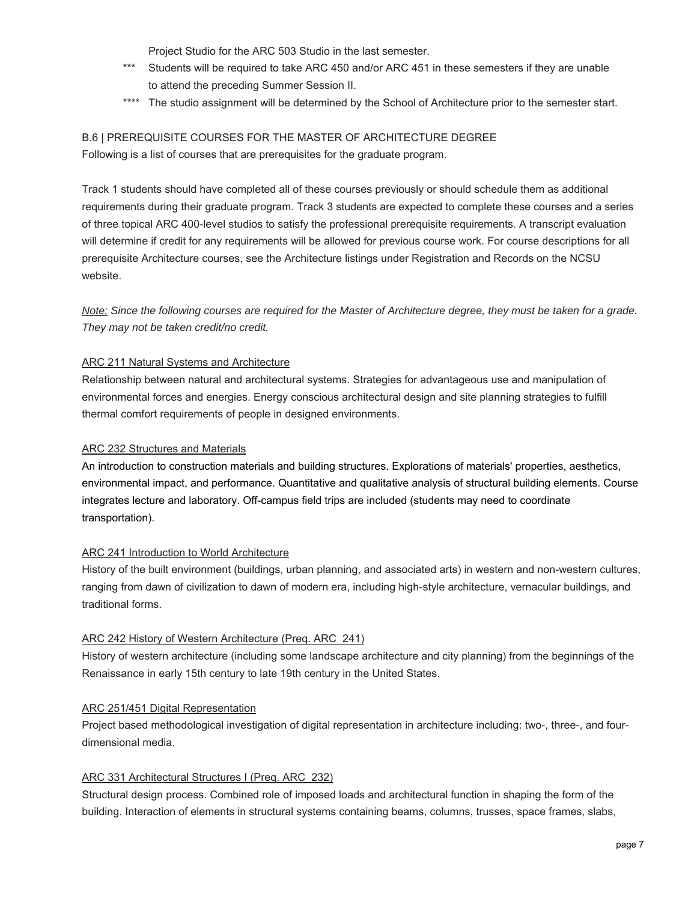Project Studio for the ARC 503 Studio in the last semester.

- \*\*\* Students will be required to take ARC 450 and/or ARC 451 in these semesters if they are unable to attend the preceding Summer Session II.
- \*\*\*\* The studio assignment will be determined by the School of Architecture prior to the semester start.

#### B.6 | PREREQUISITE COURSES FOR THE MASTER OF ARCHITECTURE DEGREE

Following is a list of courses that are prerequisites for the graduate program.

 website. Track 1 students should have completed all of these courses previously or should schedule them as additional requirements during their graduate program. Track 3 students are expected to complete these courses and a series of three topical ARC 400-level studios to satisfy the professional prerequisite requirements. A transcript evaluation will determine if credit for any requirements will be allowed for previous course work. For course descriptions for all prerequisite Architecture courses, see the Architecture listings under Registration and Records on the NCSU

*Note: Since the following courses are required for the Master of Architecture degree, they must be taken for a grade. They may not be taken credit/no credit.* 

#### ARC 211 Natural Systems and Architecture

Relationship between natural and architectural systems. Strategies for advantageous use and manipulation of environmental forces and energies. Energy conscious architectural design and site planning strategies to fulfill thermal comfort requirements of people in designed environments.

#### ARC 232 Structures and Materials

An introduction to construction materials and building structures. Explorations of materials' properties, aesthetics, environmental impact, and performance. Quantitative and qualitative analysis of structural building elements. Course integrates lecture and laboratory. Off-campus field trips are included (students may need to coordinate transportation).

#### ARC 241 Introduction to World Architecture

History of the built environment (buildings, urban planning, and associated arts) in western and non-western cultures, ranging from dawn of civilization to dawn of modern era, including high-style architecture, vernacular buildings, and traditional forms.

#### ARC 242 History of Western Architecture (Preq. ARC 241)

History of western architecture (including some landscape architecture and city planning) from the beginnings of the Renaissance in early 15th century to late 19th century in the United States.

#### ARC 251/451 Digital Representation

Project based methodological investigation of digital representation in architecture including: two-, three-, and fourdimensional media.

#### ARC 331 Architectural Structures I (Preq. ARC 232)

Structural design process. Combined role of imposed loads and architectural function in shaping the form of the building. Interaction of elements in structural systems containing beams, columns, trusses, space frames, slabs,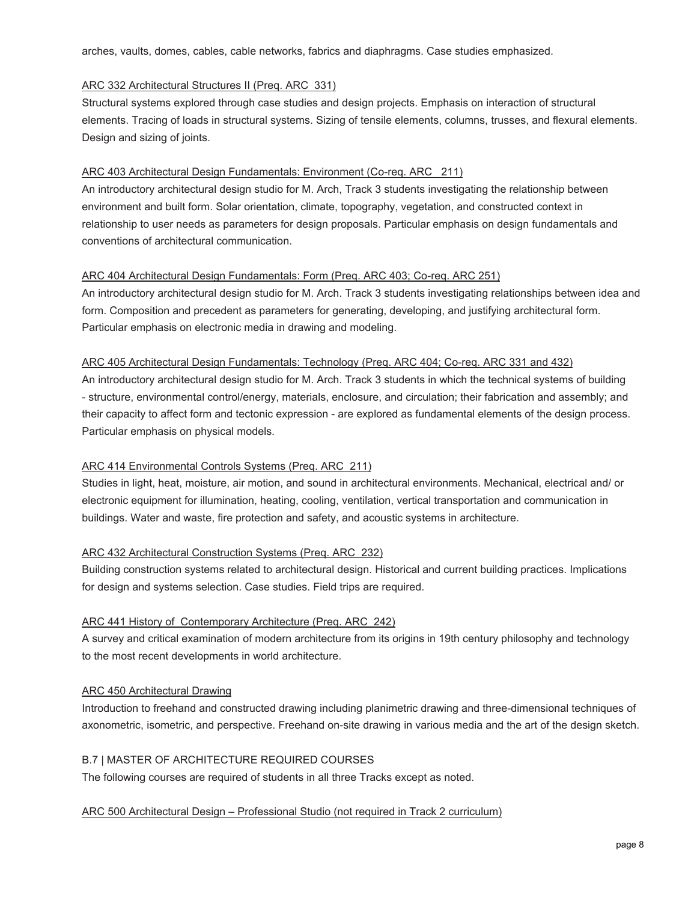arches, vaults, domes, cables, cable networks, fabrics and diaphragms. Case studies emphasized.

#### ARC 332 Architectural Structures II (Preq. ARC 331)

Structural systems explored through case studies and design projects. Emphasis on interaction of structural elements. Tracing of loads in structural systems. Sizing of tensile elements, columns, trusses, and flexural elements. Design and sizing of joints.

#### ARC 403 Architectural Design Fundamentals: Environment (Co-req. ARC 211)

An introductory architectural design studio for M. Arch, Track 3 students investigating the relationship between environment and built form. Solar orientation, climate, topography, vegetation, and constructed context in relationship to user needs as parameters for design proposals. Particular emphasis on design fundamentals and conventions of architectural communication.

#### ARC 404 Architectural Design Fundamentals: Form (Preq. ARC 403; Co-req. ARC 251)

An introductory architectural design studio for M. Arch. Track 3 students investigating relationships between idea and form. Composition and precedent as parameters for generating, developing, and justifying architectural form. Particular emphasis on electronic media in drawing and modeling.

#### ARC 405 Architectural Design Fundamentals: Technology (Preq. ARC 404; Co-req. ARC 331 and 432)

An introductory architectural design studio for M. Arch. Track 3 students in which the technical systems of building - structure, environmental control/energy, materials, enclosure, and circulation; their fabrication and assembly; and their capacity to affect form and tectonic expression - are explored as fundamental elements of the design process. Particular emphasis on physical models.

#### ARC 414 Environmental Controls Systems (Preq. ARC 211)

Studies in light, heat, moisture, air motion, and sound in architectural environments. Mechanical, electrical and/ or electronic equipment for illumination, heating, cooling, ventilation, vertical transportation and communication in buildings. Water and waste, fire protection and safety, and acoustic systems in architecture.

#### ARC 432 Architectural Construction Systems (Preq. ARC 232)

Building construction systems related to architectural design. Historical and current building practices. Implications for design and systems selection. Case studies. Field trips are required.

#### ARC 441 History of Contemporary Architecture (Preq. ARC 242)

A survey and critical examination of modern architecture from its origins in 19th century philosophy and technology to the most recent developments in world architecture.

#### ARC 450 Architectural Drawing

Introduction to freehand and constructed drawing including planimetric drawing and three-dimensional techniques of axonometric, isometric, and perspective. Freehand on-site drawing in various media and the art of the design sketch.

#### B.7 | MASTER OF ARCHITECTURE REQUIRED COURSES

The following courses are required of students in all three Tracks except as noted.

#### ARC 500 Architectural Design – Professional Studio (not required in Track 2 curriculum)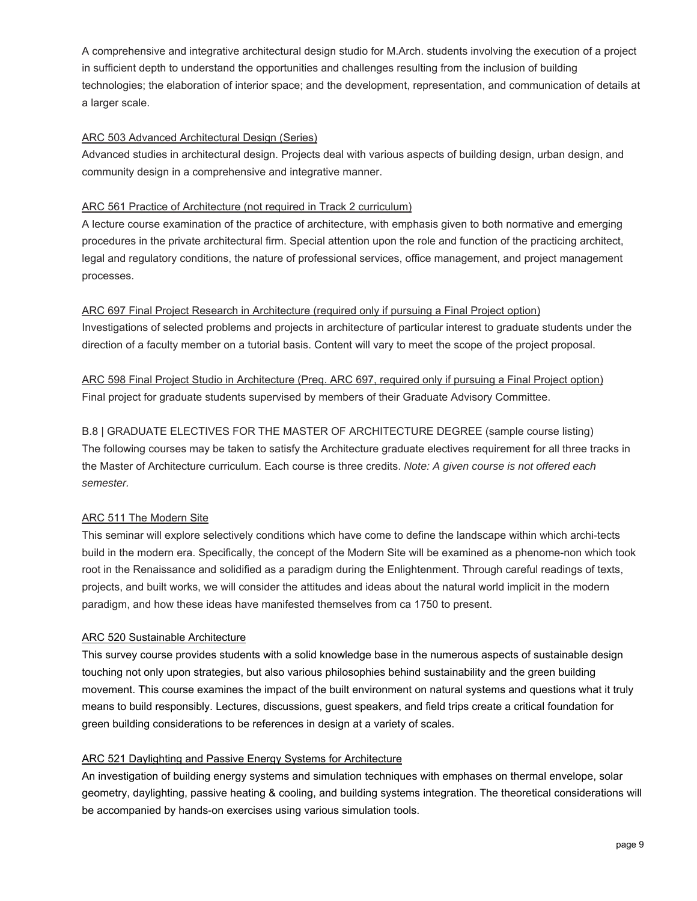A comprehensive and integrative architectural design studio for M.Arch. students involving the execution of a project in sufficient depth to understand the opportunities and challenges resulting from the inclusion of building technologies; the elaboration of interior space; and the development, representation, and communication of details at a larger scale.

#### ARC 503 Advanced Architectural Design (Series)

Advanced studies in architectural design. Projects deal with various aspects of building design, urban design, and community design in a comprehensive and integrative manner.

#### ARC 561 Practice of Architecture (not required in Track 2 curriculum)

A lecture course examination of the practice of architecture, with emphasis given to both normative and emerging procedures in the private architectural firm. Special attention upon the role and function of the practicing architect, legal and regulatory conditions, the nature of professional services, office management, and project management processes.

ARC 697 Final Project Research in Architecture (required only if pursuing a Final Project option) Investigations of selected problems and projects in architecture of particular interest to graduate students under the direction of a faculty member on a tutorial basis. Content will vary to meet the scope of the project proposal.

ARC 598 Final Project Studio in Architecture (Preq. ARC 697, required only if pursuing a Final Project option) Final project for graduate students supervised by members of their Graduate Advisory Committee.

B.8 | GRADUATE ELECTIVES FOR THE MASTER OF ARCHITECTURE DEGREE (sample course listing) The following courses may be taken to satisfy the Architecture graduate electives requirement for all three tracks in the Master of Architecture curriculum. Each course is three credits. *Note: A given course is not offered each semester.*

#### ARC 511 The Modern Site

This seminar will explore selectively conditions which have come to define the landscape within which archi-tects build in the modern era. Specifically, the concept of the Modern Site will be examined as a phenome-non which took root in the Renaissance and solidified as a paradigm during the Enlightenment. Through careful readings of texts, projects, and built works, we will consider the attitudes and ideas about the natural world implicit in the modern paradigm, and how these ideas have manifested themselves from ca 1750 to present.

#### ARC 520 Sustainable Architecture

This survey course provides students with a solid knowledge base in the numerous aspects of sustainable design touching not only upon strategies, but also various philosophies behind sustainability and the green building movement. This course examines the impact of the built environment on natural systems and questions what it truly means to build responsibly. Lectures, discussions, guest speakers, and field trips create a critical foundation for green building considerations to be references in design at a variety of scales.

#### ARC 521 Daylighting and Passive Energy Systems for Architecture

 be accompanied by hands-on exercises using various simulation tools. page 9 An investigation of building energy systems and simulation techniques with emphases on thermal envelope, solar geometry, daylighting, passive heating & cooling, and building systems integration. The theoretical considerations will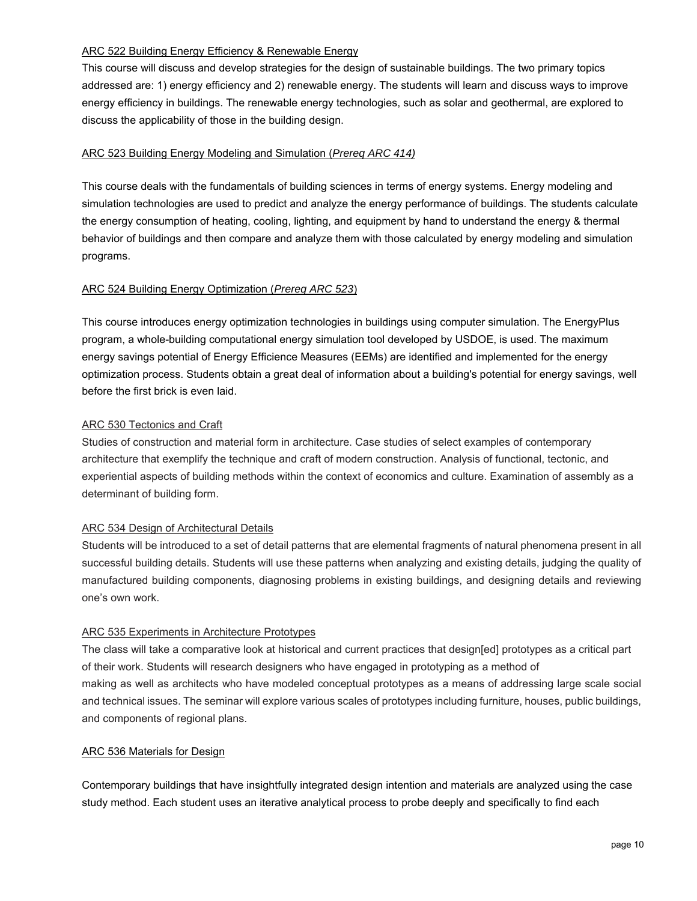#### ARC 522 Building Energy Efficiency & Renewable Energy

This course will discuss and develop strategies for the design of sustainable buildings. The two primary topics addressed are: 1) energy efficiency and 2) renewable energy. The students will learn and discuss ways to improve energy efficiency in buildings. The renewable energy technologies, such as solar and geothermal, are explored to discuss the applicability of those in the building design.

#### ARC 523 Building Energy Modeling and Simulation (*Prereq ARC 414)*

This course deals with the fundamentals of building sciences in terms of energy systems. Energy modeling and simulation technologies are used to predict and analyze the energy performance of buildings. The students calculate the energy consumption of heating, cooling, lighting, and equipment by hand to understand the energy & thermal behavior of buildings and then compare and analyze them with those calculated by energy modeling and simulation programs.

#### ARC 524 Building Energy Optimization (*Prereq ARC 523*)

This course introduces energy optimization technologies in buildings using computer simulation. The EnergyPlus program, a whole-building computational energy simulation tool developed by USDOE, is used. The maximum energy savings potential of Energy Efficience Measures (EEMs) are identified and implemented for the energy optimization process. Students obtain a great deal of information about a building's potential for energy savings, well before the first brick is even laid.

#### ARC 530 Tectonics and Craft

Studies of construction and material form in architecture. Case studies of select examples of contemporary architecture that exemplify the technique and craft of modern construction. Analysis of functional, tectonic, and experiential aspects of building methods within the context of economics and culture. Examination of assembly as a determinant of building form.

#### ARC 534 Design of Architectural Details

Students will be introduced to a set of detail patterns that are elemental fragments of natural phenomena present in all successful building details. Students will use these patterns when analyzing and existing details, judging the quality of manufactured building components, diagnosing problems in existing buildings, and designing details and reviewing one's own work.

#### ARC 535 Experiments in Architecture Prototypes

 making as well as architects who have modeled conceptual prototypes as a means of addressing large scale social The class will take a comparative look at historical and current practices that design[ed] prototypes as a critical part of their work. Students will research designers who have engaged in prototyping as a method of and technical issues. The seminar will explore various scales of prototypes including furniture, houses, public buildings, and components of regional plans.

#### ARC 536 Materials for Design

Contemporary buildings that have insightfully integrated design intention and materials are analyzed using the case study method. Each student uses an iterative analytical process to probe deeply and specifically to find each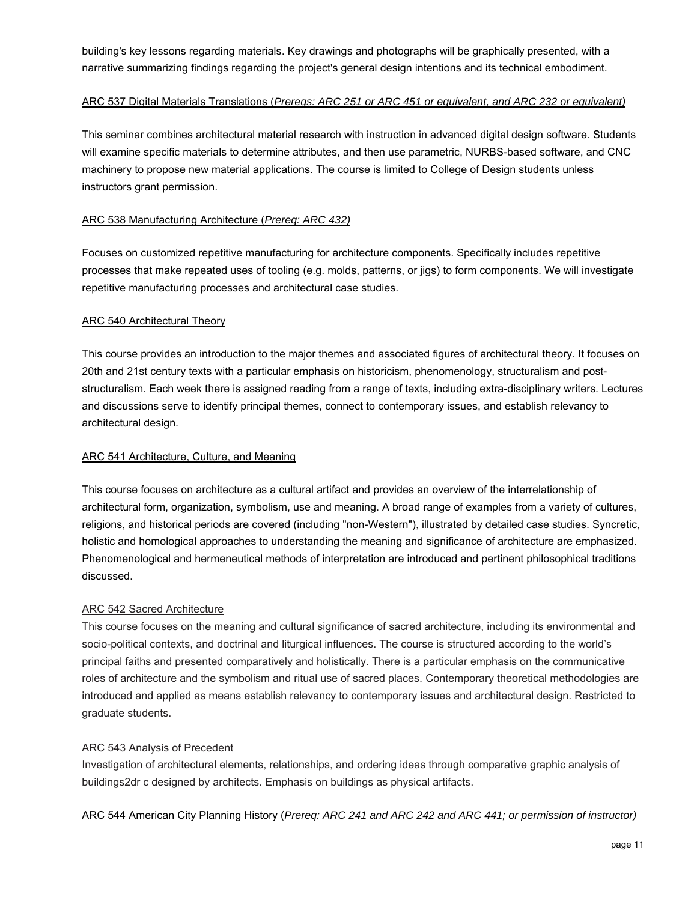building's key lessons regarding materials. Key drawings and photographs will be graphically presented, with a narrative summarizing findings regarding the project's general design intentions and its technical embodiment.

#### ARC 537 Digital Materials Translations (*Prereqs: ARC 251 or ARC 451 or equivalent, and ARC 232 or equivalent)*

This seminar combines architectural material research with instruction in advanced digital design software. Students will examine specific materials to determine attributes, and then use parametric, NURBS-based software, and CNC machinery to propose new material applications. The course is limited to College of Design students unless instructors grant permission.

#### ARC 538 Manufacturing Architecture (*Prereq: ARC 432)*

Focuses on customized repetitive manufacturing for architecture components. Specifically includes repetitive processes that make repeated uses of tooling (e.g. molds, patterns, or jigs) to form components. We will investigate repetitive manufacturing processes and architectural case studies.

#### ARC 540 Architectural Theory

This course provides an introduction to the major themes and associated figures of architectural theory. It focuses on 20th and 21st century texts with a particular emphasis on historicism, phenomenology, structuralism and poststructuralism. Each week there is assigned reading from a range of texts, including extra-disciplinary writers. Lectures and discussions serve to identify principal themes, connect to contemporary issues, and establish relevancy to architectural design.

#### ARC 541 Architecture, Culture, and Meaning

This course focuses on architecture as a cultural artifact and provides an overview of the interrelationship of architectural form, organization, symbolism, use and meaning. A broad range of examples from a variety of cultures, religions, and historical periods are covered (including "non-Western"), illustrated by detailed case studies. Syncretic, holistic and homological approaches to understanding the meaning and significance of architecture are emphasized. Phenomenological and hermeneutical methods of interpretation are introduced and pertinent philosophical traditions discussed.

#### ARC 542 Sacred Architecture

This course focuses on the meaning and cultural significance of sacred architecture, including its environmental and socio-political contexts, and doctrinal and liturgical influences. The course is structured according to the world's principal faiths and presented comparatively and holistically. There is a particular emphasis on the communicative roles of architecture and the symbolism and ritual use of sacred places. Contemporary theoretical methodologies are introduced and applied as means establish relevancy to contemporary issues and architectural design. Restricted to graduate students.

#### ARC 543 Analysis of Precedent

Investigation of architectural elements, relationships, and ordering ideas through comparative graphic analysis of buildings2dr c designed by architects. Emphasis on buildings as physical artifacts.

#### ARC 544 American City Planning History (*Prereq: ARC 241 and ARC 242 and ARC 441; or permission of instructor)*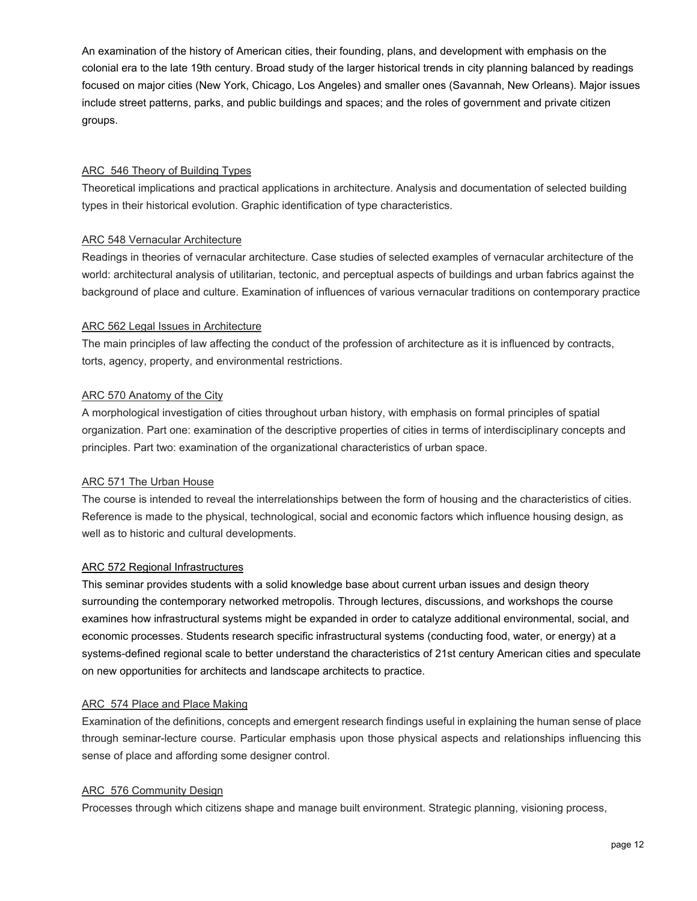An examination of the history of American cities, their founding, plans, and development with emphasis on the colonial era to the late 19th century. Broad study of the larger historical trends in city planning balanced by readings focused on major cities (New York, Chicago, Los Angeles) and smaller ones (Savannah, New Orleans). Major issues include street patterns, parks, and public buildings and spaces; and the roles of government and private citizen groups.

#### ARC 546 Theory of Building Types

Theoretical implications and practical applications in architecture. Analysis and documentation of selected building types in their historical evolution. Graphic identification of type characteristics.

#### ARC 548 Vernacular Architecture

Readings in theories of vernacular architecture. Case studies of selected examples of vernacular architecture of the world: architectural analysis of utilitarian, tectonic, and perceptual aspects of buildings and urban fabrics against the background of place and culture. Examination of influences of various vernacular traditions on contemporary practice

#### ARC 562 Legal Issues in Architecture

The main principles of law affecting the conduct of the profession of architecture as it is influenced by contracts, torts, agency, property, and environmental restrictions.

#### ARC 570 Anatomy of the City

A morphological investigation of cities throughout urban history, with emphasis on formal principles of spatial organization. Part one: examination of the descriptive properties of cities in terms of interdisciplinary concepts and principles. Part two: examination of the organizational characteristics of urban space.

#### ARC 571 The Urban House

The course is intended to reveal the interrelationships between the form of housing and the characteristics of cities. Reference is made to the physical, technological, social and economic factors which influence housing design, as well as to historic and cultural developments.

#### ARC 572 Regional Infrastructures

This seminar provides students with a solid knowledge base about current urban issues and design theory surrounding the contemporary networked metropolis. Through lectures, discussions, and workshops the course examines how infrastructural systems might be expanded in order to catalyze additional environmental, social, and economic processes. Students research specific infrastructural systems (conducting food, water, or energy) at a systems-defined regional scale to better understand the characteristics of 21st century American cities and speculate on new opportunities for architects and landscape architects to practice.

#### ARC 574 Place and Place Making

 through seminar-lecture course. Particular emphasis upon those physical aspects and relationships influencing this Examination of the definitions, concepts and emergent research findings useful in explaining the human sense of place sense of place and affording some designer control.

#### ARC 576 Community Design

Processes through which citizens shape and manage built environment. Strategic planning, visioning process,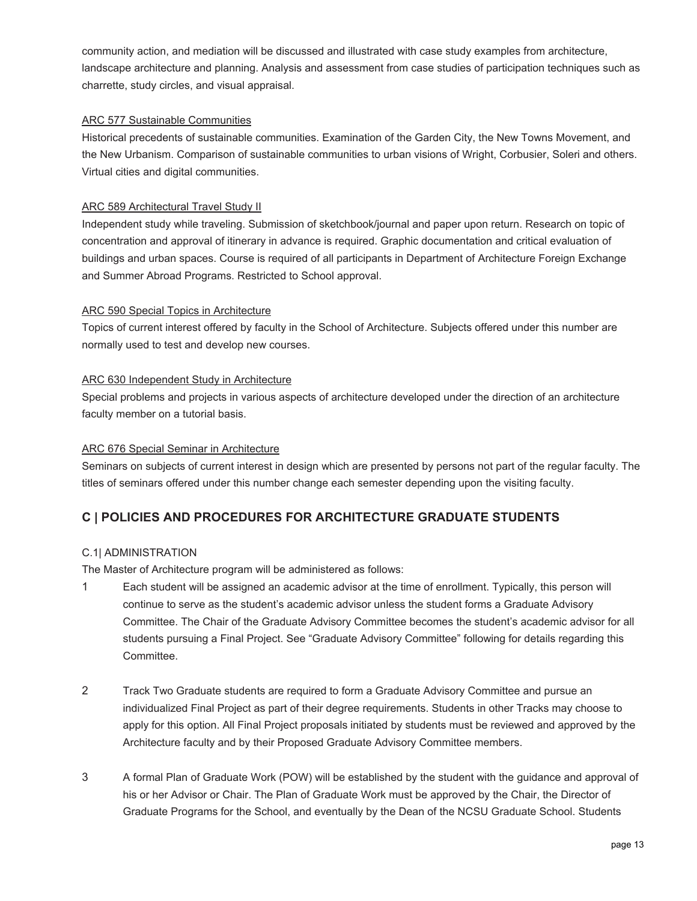community action, and mediation will be discussed and illustrated with case study examples from architecture, landscape architecture and planning. Analysis and assessment from case studies of participation techniques such as charrette, study circles, and visual appraisal.

#### ARC 577 Sustainable Communities

Historical precedents of sustainable communities. Examination of the Garden City, the New Towns Movement, and the New Urbanism. Comparison of sustainable communities to urban visions of Wright, Corbusier, Soleri and others. Virtual cities and digital communities.

#### ARC 589 Architectural Travel Study II

Independent study while traveling. Submission of sketchbook/journal and paper upon return. Research on topic of concentration and approval of itinerary in advance is required. Graphic documentation and critical evaluation of buildings and urban spaces. Course is required of all participants in Department of Architecture Foreign Exchange and Summer Abroad Programs. Restricted to School approval.

#### ARC 590 Special Topics in Architecture

Topics of current interest offered by faculty in the School of Architecture. Subjects offered under this number are normally used to test and develop new courses.

#### ARC 630 Independent Study in Architecture

Special problems and projects in various aspects of architecture developed under the direction of an architecture faculty member on a tutorial basis.

#### ARC 676 Special Seminar in Architecture

Seminars on subjects of current interest in design which are presented by persons not part of the regular faculty. The titles of seminars offered under this number change each semester depending upon the visiting faculty.

## **C | POLICIES AND PROCEDURES FOR ARCHITECTURE GRADUATE STUDENTS**

#### C.1| ADMINISTRATION

The Master of Architecture program will be administered as follows:

- 1 Each student will be assigned an academic advisor at the time of enrollment. Typically, this person will continue to serve as the student's academic advisor unless the student forms a Graduate Advisory Committee. The Chair of the Graduate Advisory Committee becomes the student's academic advisor for all students pursuing a Final Project. See "Graduate Advisory Committee" following for details regarding this Committee.
- 2 Track Two Graduate students are required to form a Graduate Advisory Committee and pursue an individualized Final Project as part of their degree requirements. Students in other Tracks may choose to apply for this option. All Final Project proposals initiated by students must be reviewed and approved by the Architecture faculty and by their Proposed Graduate Advisory Committee members.
- 3 A formal Plan of Graduate Work (POW) will be established by the student with the guidance and approval of his or her Advisor or Chair. The Plan of Graduate Work must be approved by the Chair, the Director of Graduate Programs for the School, and eventually by the Dean of the NCSU Graduate School. Students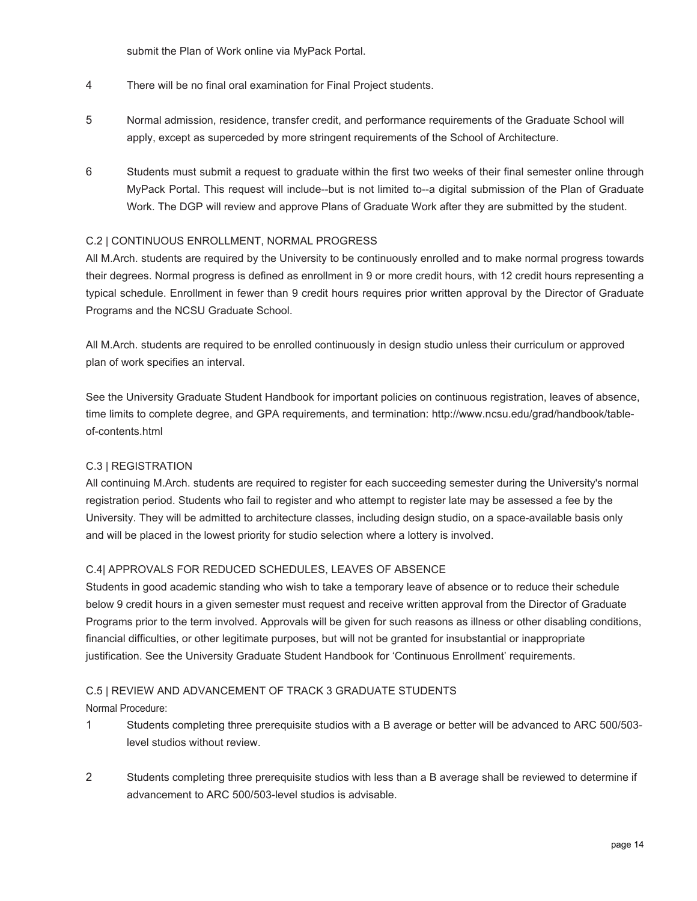submit the Plan of Work online via MyPack Portal.

- 4 There will be no final oral examination for Final Project students.
- 5 Normal admission, residence, transfer credit, and performance requirements of the Graduate School will apply, except as superceded by more stringent requirements of the School of Architecture.
- MyPack Portal. This request will include--but is not limited to--a digital submission of the Plan of Graduate 6 Students must submit a request to graduate within the first two weeks of their final semester online through Work. The DGP will review and approve Plans of Graduate Work after they are submitted by the student.

#### C.2 | CONTINUOUS ENROLLMENT, NORMAL PROGRESS

All M.Arch. students are required by the University to be continuously enrolled and to make normal progress towards their degrees. Normal progress is defined as enrollment in 9 or more credit hours, with 12 credit hours representing a typical schedule. Enrollment in fewer than 9 credit hours requires prior written approval by the Director of Graduate Programs and the NCSU Graduate School.

All M.Arch. students are required to be enrolled continuously in design studio unless their curriculum or approved plan of work specifies an interval.

See the University Graduate Student Handbook for important policies on continuous registration, leaves of absence, time limits to complete degree, and GPA requirements, and termination: http://www.ncsu.edu/grad/handbook/tableof-contents.html

#### C.3 | REGISTRATION

All continuing M.Arch. students are required to register for each succeeding semester during the University's normal registration period. Students who fail to register and who attempt to register late may be assessed a fee by the University. They will be admitted to architecture classes, including design studio, on a space-available basis only and will be placed in the lowest priority for studio selection where a lottery is involved.

#### C.4| APPROVALS FOR REDUCED SCHEDULES, LEAVES OF ABSENCE

Students in good academic standing who wish to take a temporary leave of absence or to reduce their schedule below 9 credit hours in a given semester must request and receive written approval from the Director of Graduate Programs prior to the term involved. Approvals will be given for such reasons as illness or other disabling conditions, financial difficulties, or other legitimate purposes, but will not be granted for insubstantial or inappropriate justification. See the University Graduate Student Handbook for 'Continuous Enrollment' requirements.

#### C.5 | REVIEW AND ADVANCEMENT OF TRACK 3 GRADUATE STUDENTS

Normal Procedure:

- 1 Students completing three prerequisite studios with a B average or better will be advanced to ARC 500/503 level studios without review.
- 2 Students completing three prerequisite studios with less than a B average shall be reviewed to determine if advancement to ARC 500/503-level studios is advisable.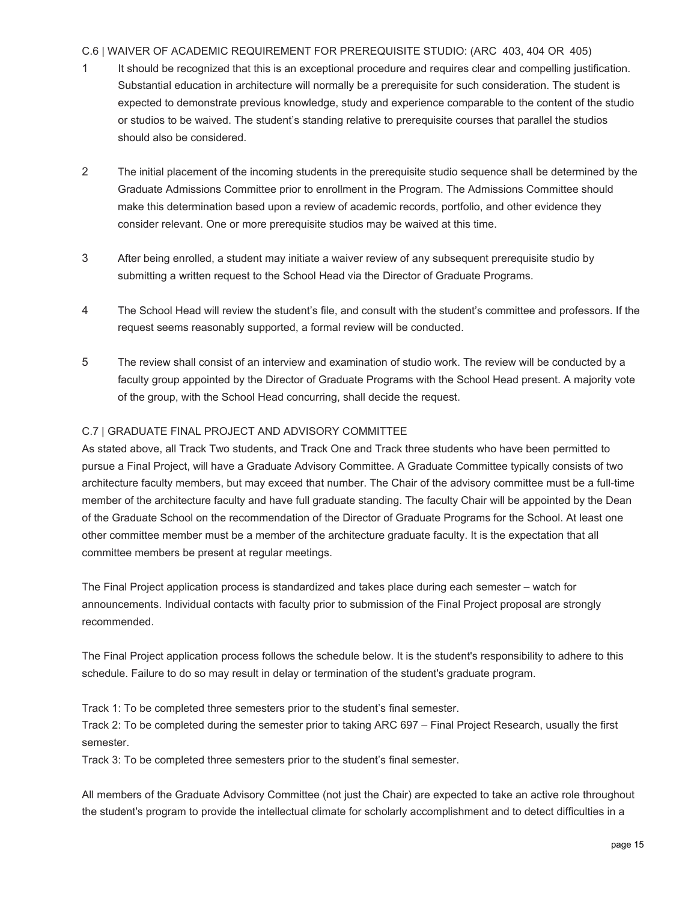#### C.6 | WAIVER OF ACADEMIC REQUIREMENT FOR PREREQUISITE STUDIO: (ARC 403, 404 OR 405)

- 1 It should be recognized that this is an exceptional procedure and requires clear and compelling justification. Substantial education in architecture will normally be a prerequisite for such consideration. The student is expected to demonstrate previous knowledge, study and experience comparable to the content of the studio or studios to be waived. The student's standing relative to prerequisite courses that parallel the studios should also be considered.
- 2 The initial placement of the incoming students in the prerequisite studio sequence shall be determined by the Graduate Admissions Committee prior to enrollment in the Program. The Admissions Committee should make this determination based upon a review of academic records, portfolio, and other evidence they consider relevant. One or more prerequisite studios may be waived at this time.
- 3 After being enrolled, a student may initiate a waiver review of any subsequent prerequisite studio by submitting a written request to the School Head via the Director of Graduate Programs.
- 4 The School Head will review the student's file, and consult with the student's committee and professors. If the request seems reasonably supported, a formal review will be conducted.
- 5 The review shall consist of an interview and examination of studio work. The review will be conducted by a faculty group appointed by the Director of Graduate Programs with the School Head present. A majority vote of the group, with the School Head concurring, shall decide the request.

#### C.7 | GRADUATE FINAL PROJECT AND ADVISORY COMMITTEE

As stated above, all Track Two students, and Track One and Track three students who have been permitted to pursue a Final Project, will have a Graduate Advisory Committee. A Graduate Committee typically consists of two architecture faculty members, but may exceed that number. The Chair of the advisory committee must be a full-time member of the architecture faculty and have full graduate standing. The faculty Chair will be appointed by the Dean of the Graduate School on the recommendation of the Director of Graduate Programs for the School. At least one other committee member must be a member of the architecture graduate faculty. It is the expectation that all committee members be present at regular meetings.

The Final Project application process is standardized and takes place during each semester – watch for announcements. Individual contacts with faculty prior to submission of the Final Project proposal are strongly recommended.

The Final Project application process follows the schedule below. It is the student's responsibility to adhere to this schedule. Failure to do so may result in delay or termination of the student's graduate program.

Track 1: To be completed three semesters prior to the student's final semester.

Track 2: To be completed during the semester prior to taking ARC 697 – Final Project Research, usually the first semester.

Track 3: To be completed three semesters prior to the student's final semester.

All members of the Graduate Advisory Committee (not just the Chair) are expected to take an active role throughout the student's program to provide the intellectual climate for scholarly accomplishment and to detect difficulties in a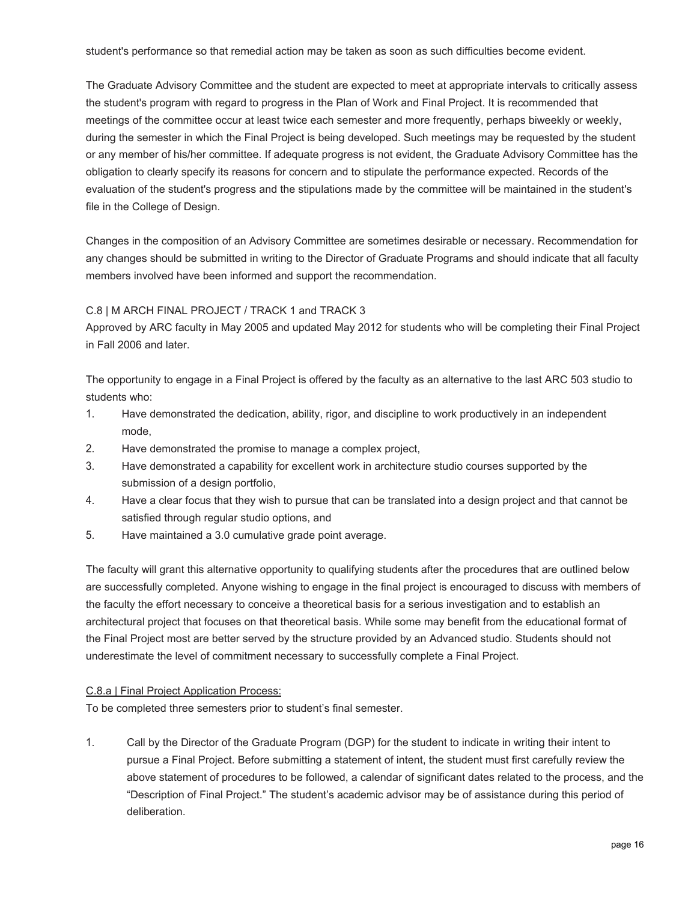The Graduate Advisory Committee and the student are expected to meet at appropriate intervals to critically assess the student's program with regard to progress in the Plan of Work and Final Project. It is recommended that meetings of the committee occur at least twice each semester and more frequently, perhaps biweekly or weekly, during the semester in which the Final Project is being developed. Such meetings may be requested by the student or any member of his/her committee. If adequate progress is not evident, the Graduate Advisory Committee has the obligation to clearly specify its reasons for concern and to stipulate the performance expected. Records of the evaluation of the student's progress and the stipulations made by the committee will be maintained in the student's file in the College of Design.

Changes in the composition of an Advisory Committee are sometimes desirable or necessary. Recommendation for any changes should be submitted in writing to the Director of Graduate Programs and should indicate that all faculty members involved have been informed and support the recommendation.

#### C.8 | M ARCH FINAL PROJECT / TRACK 1 and TRACK 3

Approved by ARC faculty in May 2005 and updated May 2012 for students who will be completing their Final Project in Fall 2006 and later.

The opportunity to engage in a Final Project is offered by the faculty as an alternative to the last ARC 503 studio to students who:

- 1. Have demonstrated the dedication, ability, rigor, and discipline to work productively in an independent mode,
- 2. Have demonstrated the promise to manage a complex project,
- 3. Have demonstrated a capability for excellent work in architecture studio courses supported by the submission of a design portfolio.
- 4. Have a clear focus that they wish to pursue that can be translated into a design project and that cannot be satisfied through regular studio options, and
- 5. Have maintained a 3.0 cumulative grade point average.

The faculty will grant this alternative opportunity to qualifying students after the procedures that are outlined below are successfully completed. Anyone wishing to engage in the final project is encouraged to discuss with members of the faculty the effort necessary to conceive a theoretical basis for a serious investigation and to establish an architectural project that focuses on that theoretical basis. While some may benefit from the educational format of the Final Project most are better served by the structure provided by an Advanced studio. Students should not underestimate the level of commitment necessary to successfully complete a Final Project.

#### C.8.a | Final Project Application Process:

To be completed three semesters prior to student's final semester.

1. Call by the Director of the Graduate Program (DGP) for the student to indicate in writing their intent to pursue a Final Project. Before submitting a statement of intent, the student must first carefully review the above statement of procedures to be followed, a calendar of significant dates related to the process, and the "Description of Final Project." The student's academic advisor may be of assistance during this period of deliberation.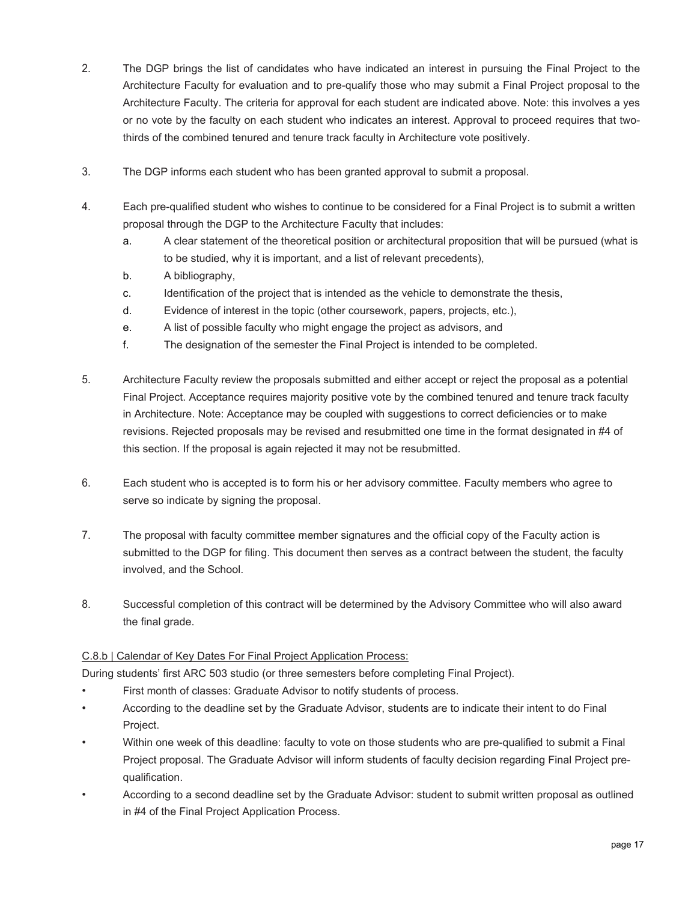- or no vote by the faculty on each student who indicates an interest. Approval to proceed requires that two-2. The DGP brings the list of candidates who have indicated an interest in pursuing the Final Project to the Architecture Faculty for evaluation and to pre-qualify those who may submit a Final Project proposal to the Architecture Faculty. The criteria for approval for each student are indicated above. Note: this involves a yes thirds of the combined tenured and tenure track faculty in Architecture vote positively.
- 3. The DGP informs each student who has been granted approval to submit a proposal.
- 4. Each pre-qualified student who wishes to continue to be considered for a Final Project is to submit a written proposal through the DGP to the Architecture Faculty that includes:
	- a. A clear statement of the theoretical position or architectural proposition that will be pursued (what is to be studied, why it is important, and a list of relevant precedents),
	- b. A bibliography,
	- c. Identification of the project that is intended as the vehicle to demonstrate the thesis,
	- d. Evidence of interest in the topic (other coursework, papers, projects, etc.),
	- e. A list of possible faculty who might engage the project as advisors, and
	- f. The designation of the semester the Final Project is intended to be completed.
- 5. Architecture Faculty review the proposals submitted and either accept or reject the proposal as a potential Final Project. Acceptance requires majority positive vote by the combined tenured and tenure track faculty in Architecture. Note: Acceptance may be coupled with suggestions to correct deficiencies or to make revisions. Rejected proposals may be revised and resubmitted one time in the format designated in #4 of this section. If the proposal is again rejected it may not be resubmitted.
- 6. Each student who is accepted is to form his or her advisory committee. Faculty members who agree to serve so indicate by signing the proposal.
- 7. The proposal with faculty committee member signatures and the official copy of the Faculty action is submitted to the DGP for filing. This document then serves as a contract between the student, the faculty involved, and the School.
- 8. Successful completion of this contract will be determined by the Advisory Committee who will also award the final grade.

#### C.8.b | Calendar of Key Dates For Final Project Application Process:

During students' first ARC 503 studio (or three semesters before completing Final Project).

- First month of classes: Graduate Advisor to notify students of process.
- According to the deadline set by the Graduate Advisor, students are to indicate their intent to do Final Project.
- Within one week of this deadline: faculty to vote on those students who are pre-qualified to submit a Final Project proposal. The Graduate Advisor will inform students of faculty decision regarding Final Project prequalification.
- According to a second deadline set by the Graduate Advisor: student to submit written proposal as outlined in #4 of the Final Project Application Process.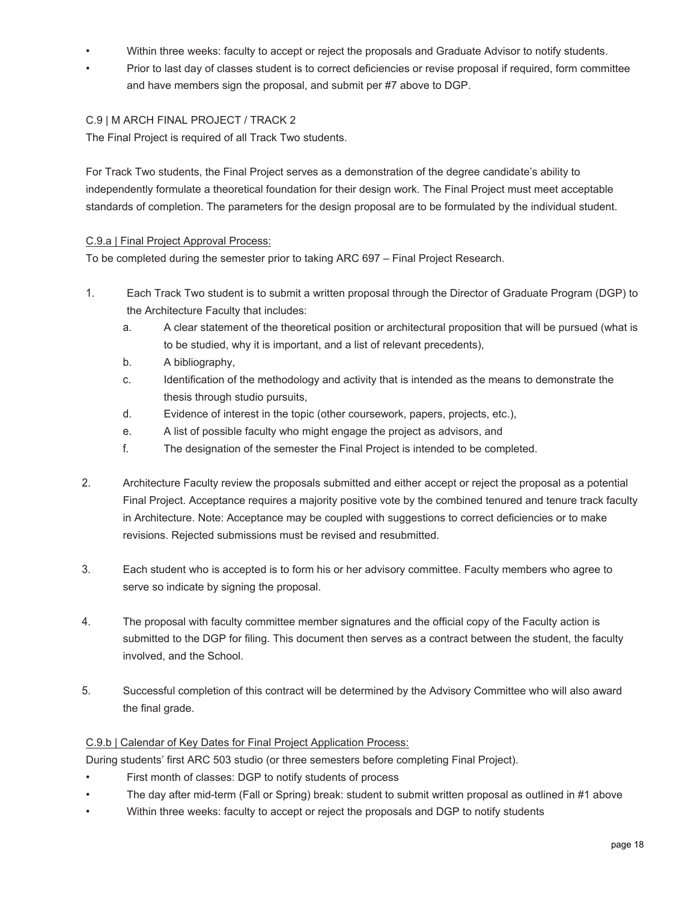- Within three weeks: faculty to accept or reject the proposals and Graduate Advisor to notify students.
- Prior to last day of classes student is to correct deficiencies or revise proposal if required, form committee and have members sign the proposal, and submit per #7 above to DGP.

#### C.9 | M ARCH FINAL PROJECT / TRACK 2

The Final Project is required of all Track Two students.

For Track Two students, the Final Project serves as a demonstration of the degree candidate's ability to independently formulate a theoretical foundation for their design work. The Final Project must meet acceptable standards of completion. The parameters for the design proposal are to be formulated by the individual student.

#### C.9.a | Final Project Approval Process:

To be completed during the semester prior to taking ARC 697 – Final Project Research.

- 1. Each Track Two student is to submit a written proposal through the Director of Graduate Program (DGP) to the Architecture Faculty that includes:
	- a. A clear statement of the theoretical position or architectural proposition that will be pursued (what is to be studied, why it is important, and a list of relevant precedents),
	- b. A bibliography,
	- c. Identification of the methodology and activity that is intended as the means to demonstrate the thesis through studio pursuits,
	- d. Evidence of interest in the topic (other coursework, papers, projects, etc.),
	- e. A list of possible faculty who might engage the project as advisors, and
	- f. The designation of the semester the Final Project is intended to be completed.
- 2. Architecture Faculty review the proposals submitted and either accept or reject the proposal as a potential Final Project. Acceptance requires a majority positive vote by the combined tenured and tenure track faculty in Architecture. Note: Acceptance may be coupled with suggestions to correct deficiencies or to make revisions. Rejected submissions must be revised and resubmitted.
- 3. Each student who is accepted is to form his or her advisory committee. Faculty members who agree to serve so indicate by signing the proposal.
- 4. The proposal with faculty committee member signatures and the official copy of the Faculty action is submitted to the DGP for filing. This document then serves as a contract between the student, the faculty involved, and the School.
- 5. Successful completion of this contract will be determined by the Advisory Committee who will also award the final grade.

#### C.9.b | Calendar of Key Dates for Final Project Application Process:

During students' first ARC 503 studio (or three semesters before completing Final Project).

- First month of classes: DGP to notify students of process
- The day after mid-term (Fall or Spring) break: student to submit written proposal as outlined in #1 above
- Within three weeks: faculty to accept or reject the proposals and DGP to notify students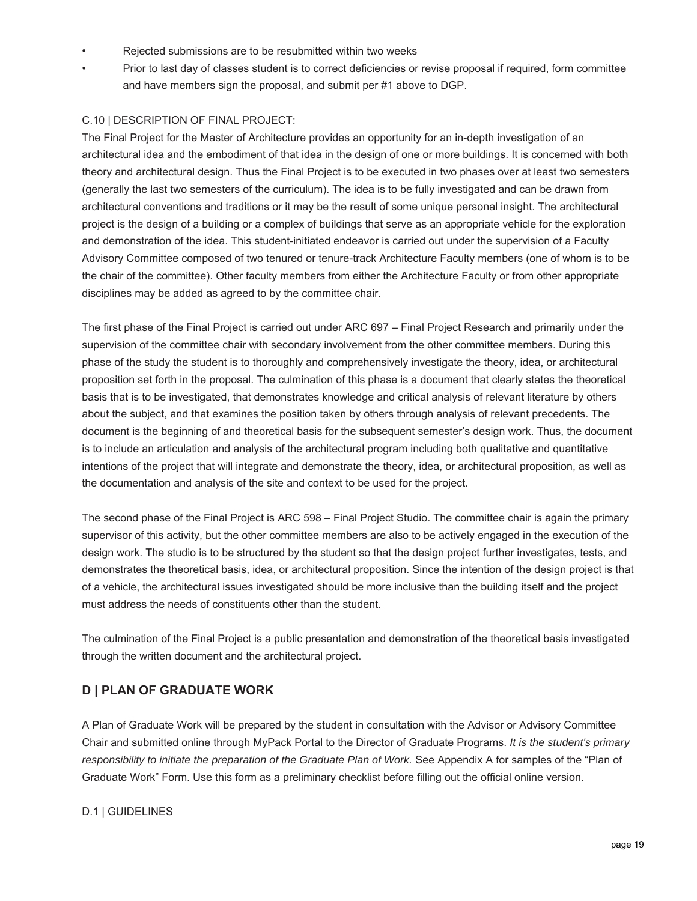- Rejected submissions are to be resubmitted within two weeks
- Prior to last day of classes student is to correct deficiencies or revise proposal if required, form committee and have members sign the proposal, and submit per #1 above to DGP.

#### C.10 | DESCRIPTION OF FINAL PROJECT:

The Final Project for the Master of Architecture provides an opportunity for an in-depth investigation of an architectural idea and the embodiment of that idea in the design of one or more buildings. It is concerned with both theory and architectural design. Thus the Final Project is to be executed in two phases over at least two semesters (generally the last two semesters of the curriculum). The idea is to be fully investigated and can be drawn from architectural conventions and traditions or it may be the result of some unique personal insight. The architectural project is the design of a building or a complex of buildings that serve as an appropriate vehicle for the exploration and demonstration of the idea. This student-initiated endeavor is carried out under the supervision of a Faculty Advisory Committee composed of two tenured or tenure-track Architecture Faculty members (one of whom is to be the chair of the committee). Other faculty members from either the Architecture Faculty or from other appropriate disciplines may be added as agreed to by the committee chair.

The first phase of the Final Project is carried out under ARC 697 – Final Project Research and primarily under the supervision of the committee chair with secondary involvement from the other committee members. During this phase of the study the student is to thoroughly and comprehensively investigate the theory, idea, or architectural proposition set forth in the proposal. The culmination of this phase is a document that clearly states the theoretical basis that is to be investigated, that demonstrates knowledge and critical analysis of relevant literature by others about the subject, and that examines the position taken by others through analysis of relevant precedents. The document is the beginning of and theoretical basis for the subsequent semester's design work. Thus, the document is to include an articulation and analysis of the architectural program including both qualitative and quantitative intentions of the project that will integrate and demonstrate the theory, idea, or architectural proposition, as well as the documentation and analysis of the site and context to be used for the project.

The second phase of the Final Project is ARC 598 – Final Project Studio. The committee chair is again the primary supervisor of this activity, but the other committee members are also to be actively engaged in the execution of the design work. The studio is to be structured by the student so that the design project further investigates, tests, and demonstrates the theoretical basis, idea, or architectural proposition. Since the intention of the design project is that of a vehicle, the architectural issues investigated should be more inclusive than the building itself and the project must address the needs of constituents other than the student.

The culmination of the Final Project is a public presentation and demonstration of the theoretical basis investigated through the written document and the architectural project.

## **D | PLAN OF GRADUATE WORK**

A Plan of Graduate Work will be prepared by the student in consultation with the Advisor or Advisory Committee Chair and submitted online through MyPack Portal to the Director of Graduate Programs. *It is the student's primary responsibility to initiate the preparation of the Graduate Plan of Work.* See Appendix A for samples of the "Plan of Graduate Work" Form. Use this form as a preliminary checklist before filling out the official online version.

#### D.1 | GUIDELINES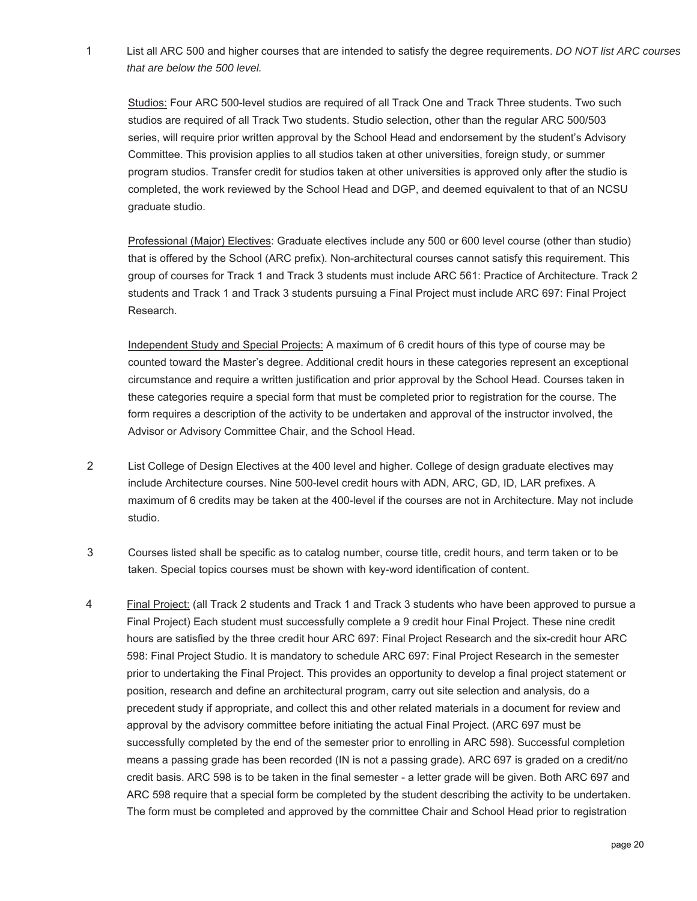<span id="page-19-0"></span>1 List all ARC 500 and higher courses that are intended to satisfy the degree requirements. *DO NOT list ARC courses that are below the 500 level.* 

Studios: Four ARC 500-level studios are required of all Track One and Track Three students. Two such studios are required of all Track Two students. Studio selection, other than the regular ARC 500/503 series, will require prior written approval by the School Head and endorsement by the student's Advisory Committee. This provision applies to all studios taken at other universities, foreign study, or summer program studios. Transfer credit for studios taken at other universities is approved only after the studio is completed, the work reviewed by the School Head and DGP, and deemed equivalent to that of an NCSU graduate studio.

Professional (Major) Electives: Graduate electives include any 500 or 600 level course (other than studio) that is offered by the School (ARC prefix). Non-architectural courses cannot satisfy this requirement. This group of courses for Track 1 and Track 3 students must include ARC 561: Practice of Architecture. Track 2 students and Track 1 and Track 3 students pursuing a Final Project must include ARC 697: Final Project Research.

Independent Study and Special Projects: A maximum of 6 credit hours of this type of course may be counted toward the Master's degree. Additional credit hours in these categories represent an exceptional circumstance and require a written justification and prior approval by the School Head. Courses taken in these categories require a special form that must be completed prior to registration for the course. The form requires a description of the activity to be undertaken and approval of the instructor involved, the Advisor or Advisory Committee Chair, and the School Head.

- 2 List College of Design Electives at the 400 level and higher. College of design graduate electives may include Architecture courses. Nine 500-level credit hours with ADN, ARC, GD, ID, LAR prefixes. A maximum of 6 credits may be taken at the 400-level if the courses are not in Architecture. May not include studio.
- 3 Courses listed shall be specific as to catalog number, course title, credit hours, and term taken or to be taken. Special topics courses must be shown with key-word identification of content.
- 4 Final Project: (all Track 2 students and Track 1 and Track 3 students who have been approved to pursue a Final Project) Each student must successfully complete a 9 credit hour Final Project. These nine credit hours are satisfied by the three credit hour ARC 697: Final Project Research and the six-credit hour ARC 598: Final Project Studio. It is mandatory to schedule ARC 697: Final Project Research in the semester prior to undertaking the Final Project. This provides an opportunity to develop a final project statement or position, research and define an architectural program, carry out site selection and analysis, do a precedent study if appropriate, and collect this and other related materials in a document for review and approval by the advisory committee before initiating the actual Final Project. (ARC 697 must be successfully completed by the end of the semester prior to enrolling in ARC 598). Successful completion means a passing grade has been recorded (IN is not a passing grade). ARC 697 is graded on a credit/no credit basis. ARC 598 is to be taken in the final semester - a letter grade will be given. Both ARC 697 and ARC 598 require that a special form be completed by the student describing the activity to be undertaken. The form must be completed and approved by the committee Chair and School Head prior to registration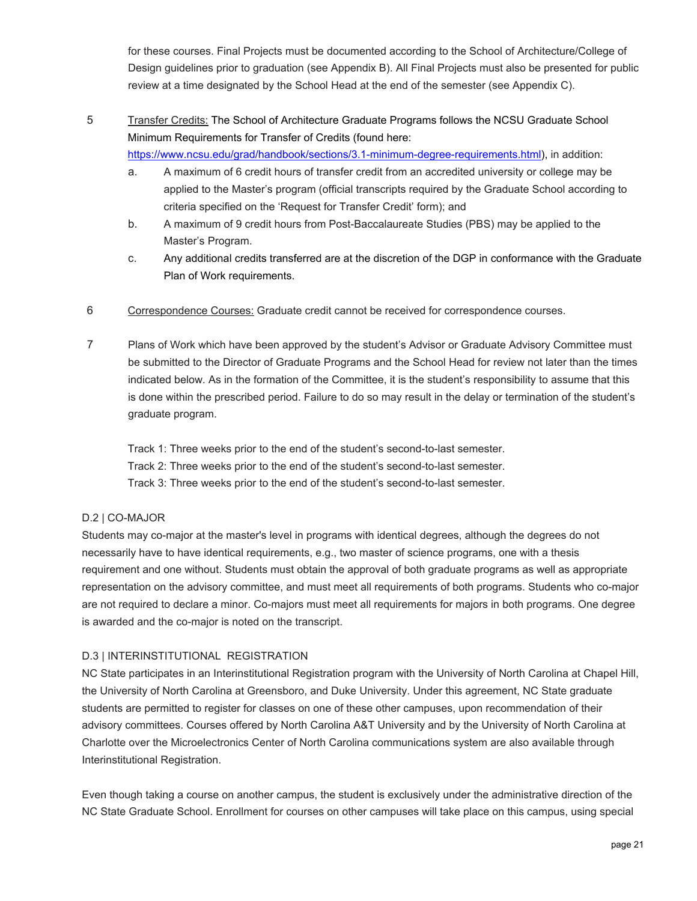for these courses. Final Projects must be documented according to the School of Architecture/College of Design guidelines prior to graduation (see Appendix B). All Final Projects must also be presented for public review at a time designated by the School Head at the end of the semester (see Appendix C).

## 5 Transfer Credits: The School of Architecture Graduate Programs follows the NCSU Graduate School Minimum Requirements for Transfer of Credits (found here:

https://www.ncsu.edu/grad/handbook/sections/3.1-minimum-degree-requirements.html), in addition:

- a. A maximum of 6 credit hours of transfer credit from an accredited university or college may be applied to the Master's program (official transcripts required by the Graduate School according to criteria specified on the 'Request for Transfer Credit' form); and
- b. A maximum of 9 credit hours from Post-Baccalaureate Studies (PBS) may be applied to the Master's Program.
- c. Any additional credits transferred are at the discretion of the DGP in conformance with the Graduate Plan of Work requirements.
- 6 Correspondence Courses: Graduate credit cannot be received for correspondence courses.
- 7 Plans of Work which have been approved by the student's Advisor or Graduate Advisory Committee must be submitted to the Director of Graduate Programs and the School Head for review not later than the times indicated below. As in the formation of the Committee, it is the student's responsibility to assume that this is done within the prescribed period. Failure to do so may result in the delay or termination of the student's graduate program.

Track 1: Three weeks prior to the end of the student's second-to-last semester.

Track 2: Three weeks prior to the end of the student's second-to-last semester.

Track 3: Three weeks prior to the end of the student's second-to-last semester.

#### D.2 | CO-MAJOR

Students may co-major at the master's level in programs with identical degrees, although the degrees do not necessarily have to have identical requirements, e.g., two master of science programs, one with a thesis requirement and one without. Students must obtain the approval of both graduate programs as well as appropriate representation on the advisory committee, and must meet all requirements of both programs. Students who co-major are not required to declare a minor. Co-majors must meet all requirements for majors in both programs. One degree is awarded and the co-major is noted on the transcript.

#### D.3 | INTERINSTITUTIONAL REGISTRATION

NC State participates in an Interinstitutional Registration program with the University of North Carolina at Chapel Hill, the University of North Carolina at Greensboro, and Duke University. Under this agreement, NC State graduate students are permitted to register for classes on one of these other campuses, upon recommendation of their advisory committees. Courses offered by North Carolina A&T University and by the University of North Carolina at Charlotte over the Microelectronics Center of North Carolina communications system are also available through Interinstitutional Registration.

Even though taking a course on another campus, the student is exclusively under the administrative direction of the NC State Graduate School. Enrollment for courses on other campuses will take place on this campus, using special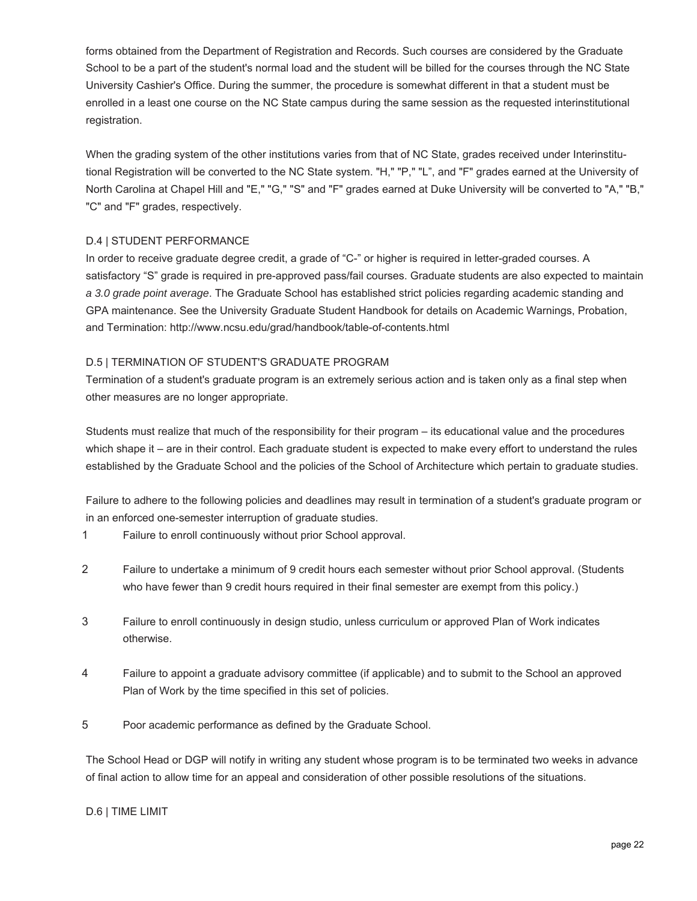forms obtained from the Department of Registration and Records. Such courses are considered by the Graduate School to be a part of the student's normal load and the student will be billed for the courses through the NC State University Cashier's Office. During the summer, the procedure is somewhat different in that a student must be enrolled in a least one course on the NC State campus during the same session as the requested interinstitutional registration.

When the grading system of the other institutions varies from that of NC State, grades received under Interinstitutional Registration will be converted to the NC State system. "H," "P," "L", and "F" grades earned at the University of North Carolina at Chapel Hill and "E," "G," "S" and "F" grades earned at Duke University will be converted to "A," "B," "C" and "F" grades, respectively.

#### D.4 | STUDENT PERFORMANCE

In order to receive graduate degree credit, a grade of "C-" or higher is required in letter-graded courses. A satisfactory "S" grade is required in pre-approved pass/fail courses. Graduate students are also expected to maintain *a 3.0 grade point average*. The Graduate School has established strict policies regarding academic standing and GPA maintenance. See the University Graduate Student Handbook for details on Academic Warnings, Probation, and Termination: http://www.ncsu.edu/grad/handbook/table-of-contents.html

#### D.5 | TERMINATION OF STUDENT'S GRADUATE PROGRAM

Termination of a student's graduate program is an extremely serious action and is taken only as a final step when other measures are no longer appropriate.

Students must realize that much of the responsibility for their program – its educational value and the procedures which shape it – are in their control. Each graduate student is expected to make every effort to understand the rules established by the Graduate School and the policies of the School of Architecture which pertain to graduate studies.

Failure to adhere to the following policies and deadlines may result in termination of a student's graduate program or in an enforced one-semester interruption of graduate studies.

- 1 Failure to enroll continuously without prior School approval.
- 2 Failure to undertake a minimum of 9 credit hours each semester without prior School approval. (Students who have fewer than 9 credit hours required in their final semester are exempt from this policy.)
- 3 Failure to enroll continuously in design studio, unless curriculum or approved Plan of Work indicates otherwise.
- 4 Failure to appoint a graduate advisory committee (if applicable) and to submit to the School an approved Plan of Work by the time specified in this set of policies.
- 5 Poor academic performance as defined by the Graduate School.

The School Head or DGP will notify in writing any student whose program is to be terminated two weeks in advance of final action to allow time for an appeal and consideration of other possible resolutions of the situations.

#### D.6 | TIME LIMIT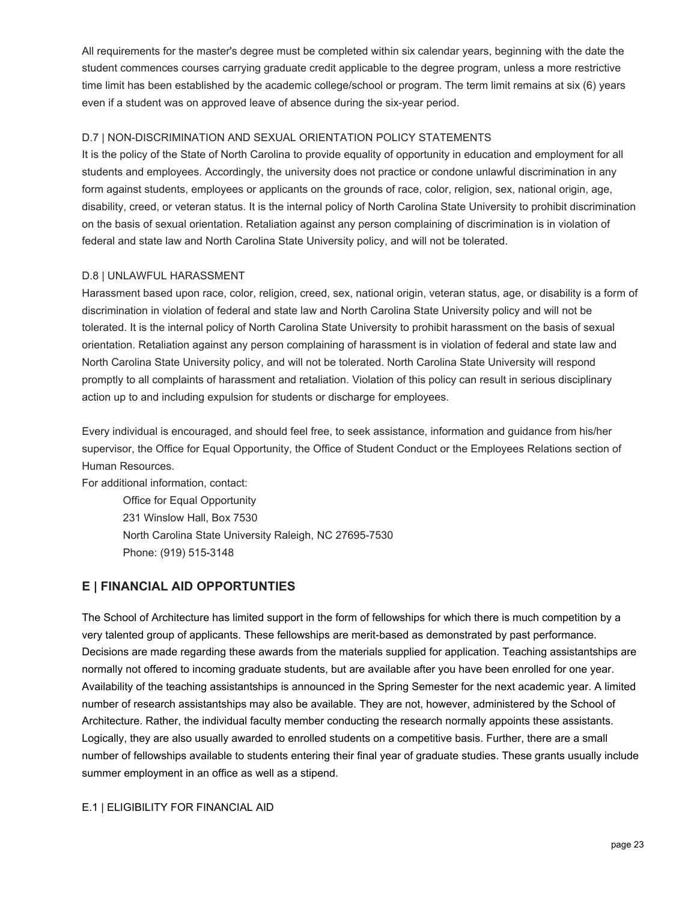All requirements for the master's degree must be completed within six calendar years, beginning with the date the student commences courses carrying graduate credit applicable to the degree program, unless a more restrictive time limit has been established by the academic college/school or program. The term limit remains at six (6) years even if a student was on approved leave of absence during the six-year period.

#### D.7 | NON-DISCRIMINATION AND SEXUAL ORIENTATION POLICY STATEMENTS

It is the policy of the State of North Carolina to provide equality of opportunity in education and employment for all students and employees. Accordingly, the university does not practice or condone unlawful discrimination in any form against students, employees or applicants on the grounds of race, color, religion, sex, national origin, age, disability, creed, or veteran status. It is the internal policy of North Carolina State University to prohibit discrimination on the basis of sexual orientation. Retaliation against any person complaining of discrimination is in violation of federal and state law and North Carolina State University policy, and will not be tolerated.

#### D.8 | UNLAWFUL HARASSMENT

Harassment based upon race, color, religion, creed, sex, national origin, veteran status, age, or disability is a form of discrimination in violation of federal and state law and North Carolina State University policy and will not be tolerated. It is the internal policy of North Carolina State University to prohibit harassment on the basis of sexual orientation. Retaliation against any person complaining of harassment is in violation of federal and state law and North Carolina State University policy, and will not be tolerated. North Carolina State University will respond promptly to all complaints of harassment and retaliation. Violation of this policy can result in serious disciplinary action up to and including expulsion for students or discharge for employees.

Every individual is encouraged, and should feel free, to seek assistance, information and guidance from his/her supervisor, the Office for Equal Opportunity, the Office of Student Conduct or the Employees Relations section of Human Resources.

For additional information, contact:

Office for Equal Opportunity 231 Winslow Hall, Box 7530 North Carolina State University Raleigh, NC 27695-7530 Phone: (919) 515-3148

## **E | FINANCIAL AID OPPORTUNTIES**

The School of Architecture has limited support in the form of fellowships for which there is much competition by a very talented group of applicants. These fellowships are merit-based as demonstrated by past performance. Decisions are made regarding these awards from the materials supplied for application. Teaching assistantships are normally not offered to incoming graduate students, but are available after you have been enrolled for one year. Availability of the teaching assistantships is announced in the Spring Semester for the next academic year. A limited number of research assistantships may also be available. They are not, however, administered by the School of Architecture. Rather, the individual faculty member conducting the research normally appoints these assistants. Logically, they are also usually awarded to enrolled students on a competitive basis. Further, there are a small number of fellowships available to students entering their final year of graduate studies. These grants usually include summer employment in an office as well as a stipend.

#### E.1 | ELIGIBILITY FOR FINANCIAL AID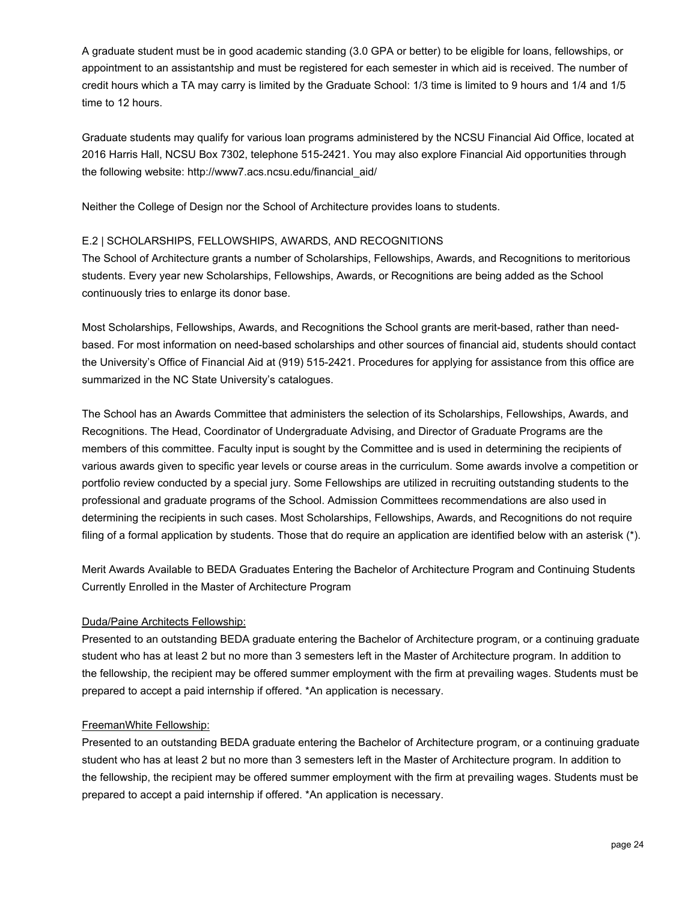A graduate student must be in good academic standing (3.0 GPA or better) to be eligible for loans, fellowships, or appointment to an assistantship and must be registered for each semester in which aid is received. The number of credit hours which a TA may carry is limited by the Graduate School: 1/3 time is limited to 9 hours and 1/4 and 1/5 time to 12 hours.

Graduate students may qualify for various loan programs administered by the NCSU Financial Aid Office, located at 2016 Harris Hall, NCSU Box 7302, telephone 515-2421. You may also explore Financial Aid opportunities through the following website: http://www7.acs.ncsu.edu/financial\_aid/

Neither the College of Design nor the School of Architecture provides loans to students.

#### E.2 | SCHOLARSHIPS, FELLOWSHIPS, AWARDS, AND RECOGNITIONS

The School of Architecture grants a number of Scholarships, Fellowships, Awards, and Recognitions to meritorious students. Every year new Scholarships, Fellowships, Awards, or Recognitions are being added as the School continuously tries to enlarge its donor base.

Most Scholarships, Fellowships, Awards, and Recognitions the School grants are merit-based, rather than needbased. For most information on need-based scholarships and other sources of financial aid, students should contact the University's Office of Financial Aid at (919) 515-2421. Procedures for applying for assistance from this office are summarized in the NC State University's catalogues.

The School has an Awards Committee that administers the selection of its Scholarships, Fellowships, Awards, and Recognitions. The Head, Coordinator of Undergraduate Advising, and Director of Graduate Programs are the members of this committee. Faculty input is sought by the Committee and is used in determining the recipients of various awards given to specific year levels or course areas in the curriculum. Some awards involve a competition or portfolio review conducted by a special jury. Some Fellowships are utilized in recruiting outstanding students to the professional and graduate programs of the School. Admission Committees recommendations are also used in determining the recipients in such cases. Most Scholarships, Fellowships, Awards, and Recognitions do not require filing of a formal application by students. Those that do require an application are identified below with an asterisk (\*).

Merit Awards Available to BEDA Graduates Entering the Bachelor of Architecture Program and Continuing Students Currently Enrolled in the Master of Architecture Program

#### Duda/Paine Architects Fellowship:

Presented to an outstanding BEDA graduate entering the Bachelor of Architecture program, or a continuing graduate student who has at least 2 but no more than 3 semesters left in the Master of Architecture program. In addition to the fellowship, the recipient may be offered summer employment with the firm at prevailing wages. Students must be prepared to accept a paid internship if offered. \*An application is necessary.

#### FreemanWhite Fellowship:

Presented to an outstanding BEDA graduate entering the Bachelor of Architecture program, or a continuing graduate student who has at least 2 but no more than 3 semesters left in the Master of Architecture program. In addition to the fellowship, the recipient may be offered summer employment with the firm at prevailing wages. Students must be prepared to accept a paid internship if offered. \*An application is necessary.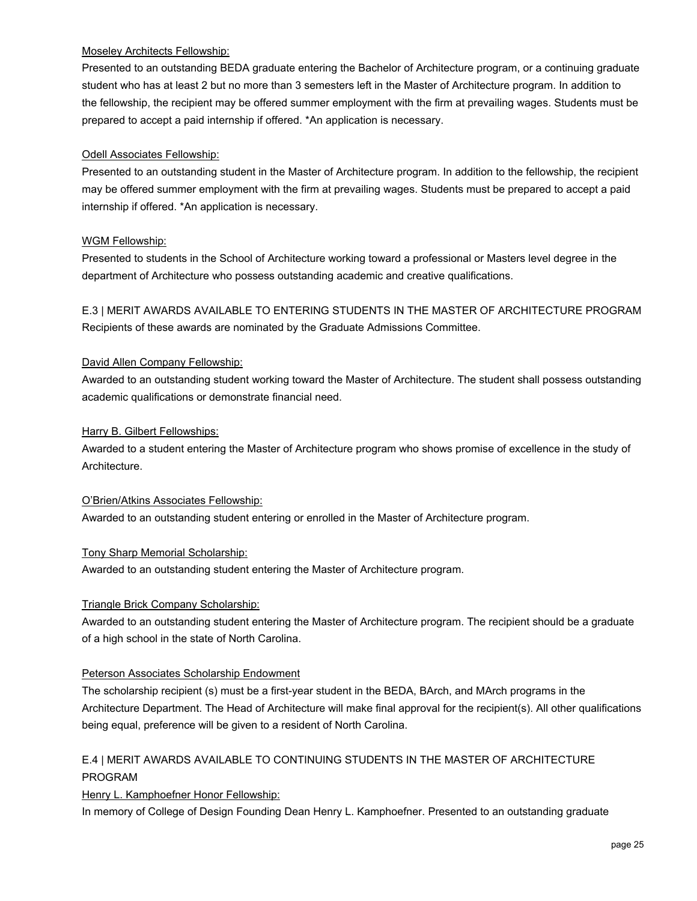#### Moseley Architects Fellowship:

Presented to an outstanding BEDA graduate entering the Bachelor of Architecture program, or a continuing graduate student who has at least 2 but no more than 3 semesters left in the Master of Architecture program. In addition to the fellowship, the recipient may be offered summer employment with the firm at prevailing wages. Students must be prepared to accept a paid internship if offered. \*An application is necessary.

#### Odell Associates Fellowship:

Presented to an outstanding student in the Master of Architecture program. In addition to the fellowship, the recipient may be offered summer employment with the firm at prevailing wages. Students must be prepared to accept a paid internship if offered. \*An application is necessary.

#### WGM Fellowship:

Presented to students in the School of Architecture working toward a professional or Masters level degree in the department of Architecture who possess outstanding academic and creative qualifications.

E.3 | MERIT AWARDS AVAILABLE TO ENTERING STUDENTS IN THE MASTER OF ARCHITECTURE PROGRAM Recipients of these awards are nominated by the Graduate Admissions Committee.

#### David Allen Company Fellowship:

Awarded to an outstanding student working toward the Master of Architecture. The student shall possess outstanding academic qualifications or demonstrate financial need.

#### Harry B. Gilbert Fellowships:

Awarded to a student entering the Master of Architecture program who shows promise of excellence in the study of Architecture.

#### O'Brien/Atkins Associates Fellowship:

Awarded to an outstanding student entering or enrolled in the Master of Architecture program.

#### Tony Sharp Memorial Scholarship:

Awarded to an outstanding student entering the Master of Architecture program.

#### Triangle Brick Company Scholarship:

Awarded to an outstanding student entering the Master of Architecture program. The recipient should be a graduate of a high school in the state of North Carolina.

#### Peterson Associates Scholarship Endowment

The scholarship recipient (s) must be a first-year student in the BEDA, BArch, and MArch programs in the Architecture Department. The Head of Architecture will make final approval for the recipient(s). All other qualifications being equal, preference will be given to a resident of North Carolina.

## E.4 | MERIT AWARDS AVAILABLE TO CONTINUING STUDENTS IN THE MASTER OF ARCHITECTURE PROGRAM

#### Henry L. Kamphoefner Honor Fellowship:

In memory of College of Design Founding Dean Henry L. Kamphoefner. Presented to an outstanding graduate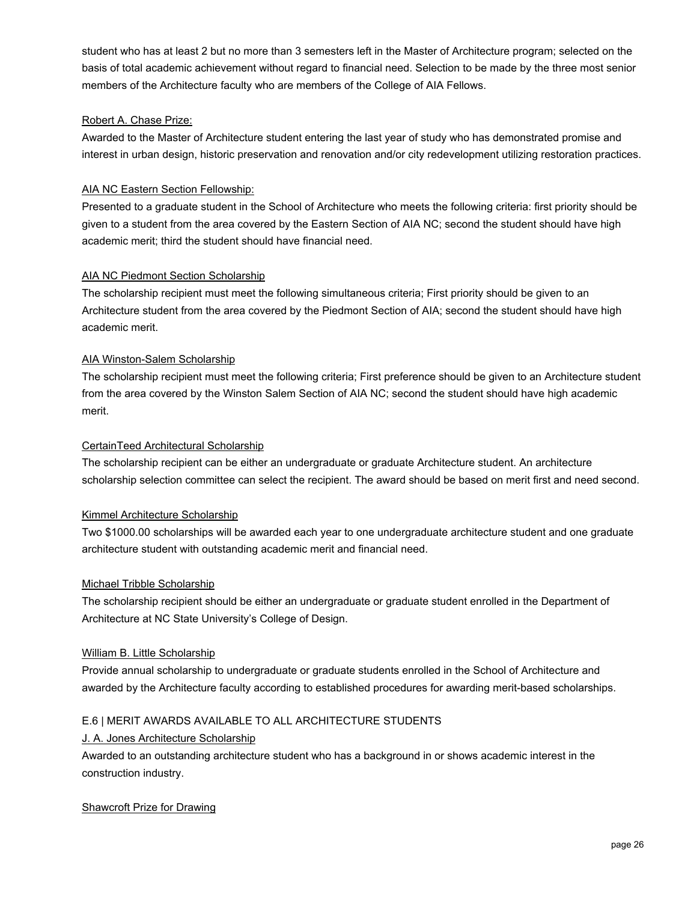student who has at least 2 but no more than 3 semesters left in the Master of Architecture program; selected on the basis of total academic achievement without regard to financial need. Selection to be made by the three most senior members of the Architecture faculty who are members of the College of AIA Fellows.

#### Robert A. Chase Prize:

Awarded to the Master of Architecture student entering the last year of study who has demonstrated promise and interest in urban design, historic preservation and renovation and/or city redevelopment utilizing restoration practices.

#### AIA NC Eastern Section Fellowship:

Presented to a graduate student in the School of Architecture who meets the following criteria: first priority should be given to a student from the area covered by the Eastern Section of AIA NC; second the student should have high academic merit; third the student should have financial need.

#### AIA NC Piedmont Section Scholarship

The scholarship recipient must meet the following simultaneous criteria; First priority should be given to an Architecture student from the area covered by the Piedmont Section of AIA; second the student should have high academic merit.

#### AIA Winston-Salem Scholarship

The scholarship recipient must meet the following criteria; First preference should be given to an Architecture student from the area covered by the Winston Salem Section of AIA NC; second the student should have high academic merit.

#### CertainTeed Architectural Scholarship

The scholarship recipient can be either an undergraduate or graduate Architecture student. An architecture scholarship selection committee can select the recipient. The award should be based on merit first and need second.

#### Kimmel Architecture Scholarship

Two \$1000.00 scholarships will be awarded each year to one undergraduate architecture student and one graduate architecture student with outstanding academic merit and financial need.

#### Michael Tribble Scholarship

The scholarship recipient should be either an undergraduate or graduate student enrolled in the Department of Architecture at NC State University's College of Design.

#### William B. Little Scholarship

Provide annual scholarship to undergraduate or graduate students enrolled in the School of Architecture and awarded by the Architecture faculty according to established procedures for awarding merit-based scholarships.

#### E.6 | MERIT AWARDS AVAILABLE TO ALL ARCHITECTURE STUDENTS

#### J. A. Jones Architecture Scholarship

Awarded to an outstanding architecture student who has a background in or shows academic interest in the construction industry.

#### Shawcroft Prize for Drawing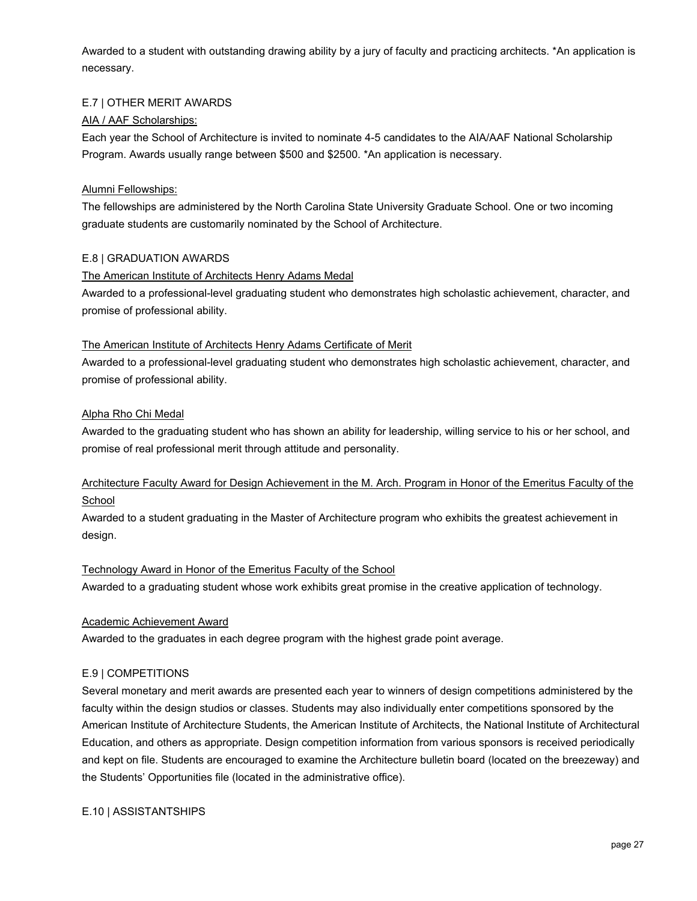Awarded to a student with outstanding drawing ability by a jury of faculty and practicing architects. \*An application is necessary.

#### E.7 | OTHER MERIT AWARDS

#### AIA / AAF Scholarships:

Each year the School of Architecture is invited to nominate 4-5 candidates to the AIA/AAF National Scholarship Program. Awards usually range between \$500 and \$2500. \*An application is necessary.

#### Alumni Fellowships:

The fellowships are administered by the North Carolina State University Graduate School. One or two incoming graduate students are customarily nominated by the School of Architecture.

#### E.8 | GRADUATION AWARDS

#### The American Institute of Architects Henry Adams Medal

Awarded to a professional-level graduating student who demonstrates high scholastic achievement, character, and promise of professional ability.

#### The American Institute of Architects Henry Adams Certificate of Merit

Awarded to a professional-level graduating student who demonstrates high scholastic achievement, character, and promise of professional ability.

#### Alpha Rho Chi Medal

Awarded to the graduating student who has shown an ability for leadership, willing service to his or her school, and promise of real professional merit through attitude and personality.

## Architecture Faculty Award for Design Achievement in the M. Arch. Program in Honor of the Emeritus Faculty of the School

Awarded to a student graduating in the Master of Architecture program who exhibits the greatest achievement in design.

#### Technology Award in Honor of the Emeritus Faculty of the School

Awarded to a graduating student whose work exhibits great promise in the creative application of technology.

#### Academic Achievement Award

Awarded to the graduates in each degree program with the highest grade point average.

#### E.9 | COMPETITIONS

Several monetary and merit awards are presented each year to winners of design competitions administered by the faculty within the design studios or classes. Students may also individually enter competitions sponsored by the American Institute of Architecture Students, the American Institute of Architects, the National Institute of Architectural Education, and others as appropriate. Design competition information from various sponsors is received periodically and kept on file. Students are encouraged to examine the Architecture bulletin board (located on the breezeway) and the Students' Opportunities file (located in the administrative office).

#### E.10 | ASSISTANTSHIPS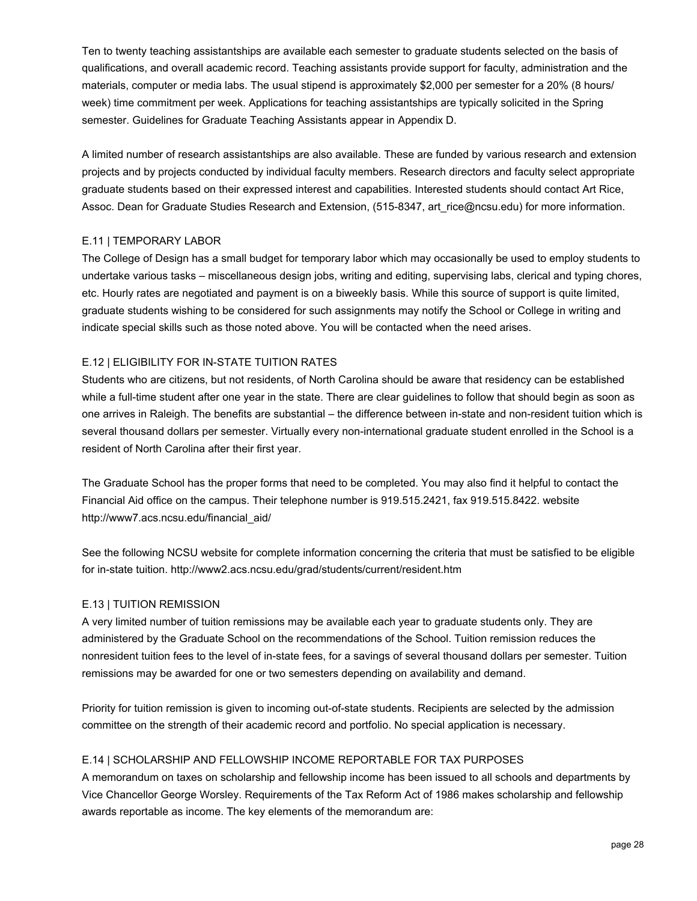Ten to twenty teaching assistantships are available each semester to graduate students selected on the basis of qualifications, and overall academic record. Teaching assistants provide support for faculty, administration and the materials, computer or media labs. The usual stipend is approximately \$2,000 per semester for a 20% (8 hours/ week) time commitment per week. Applications for teaching assistantships are typically solicited in the Spring semester. Guidelines for Graduate Teaching Assistants appear in Appendix D.

A limited number of research assistantships are also available. These are funded by various research and extension projects and by projects conducted by individual faculty members. Research directors and faculty select appropriate graduate students based on their expressed interest and capabilities. Interested students should contact Art Rice, Assoc. Dean for Graduate Studies Research and Extension, (515-8347, art rice@ncsu.edu) for more information.

#### E.11 | TEMPORARY LABOR

The College of Design has a small budget for temporary labor which may occasionally be used to employ students to undertake various tasks – miscellaneous design jobs, writing and editing, supervising labs, clerical and typing chores, etc. Hourly rates are negotiated and payment is on a biweekly basis. While this source of support is quite limited, graduate students wishing to be considered for such assignments may notify the School or College in writing and indicate special skills such as those noted above. You will be contacted when the need arises.

#### E.12 | ELIGIBILITY FOR IN-STATE TUITION RATES

Students who are citizens, but not residents, of North Carolina should be aware that residency can be established while a full-time student after one year in the state. There are clear guidelines to follow that should begin as soon as one arrives in Raleigh. The benefits are substantial – the difference between in-state and non-resident tuition which is several thousand dollars per semester. Virtually every non-international graduate student enrolled in the School is a resident of North Carolina after their first year.

The Graduate School has the proper forms that need to be completed. You may also find it helpful to contact the Financial Aid office on the campus. Their telephone number is 919.515.2421, fax 919.515.8422. website http://www7.acs.ncsu.edu/financial\_aid/

See the following NCSU website for complete information concerning the criteria that must be satisfied to be eligible for in-state tuition. http://www2.acs.ncsu.edu/grad/students/current/resident.htm

#### E.13 | TUITION REMISSION

A very limited number of tuition remissions may be available each year to graduate students only. They are administered by the Graduate School on the recommendations of the School. Tuition remission reduces the nonresident tuition fees to the level of in-state fees, for a savings of several thousand dollars per semester. Tuition remissions may be awarded for one or two semesters depending on availability and demand.

Priority for tuition remission is given to incoming out-of-state students. Recipients are selected by the admission committee on the strength of their academic record and portfolio. No special application is necessary.

#### E.14 | SCHOLARSHIP AND FELLOWSHIP INCOME REPORTABLE FOR TAX PURPOSES

A memorandum on taxes on scholarship and fellowship income has been issued to all schools and departments by Vice Chancellor George Worsley. Requirements of the Tax Reform Act of 1986 makes scholarship and fellowship awards reportable as income. The key elements of the memorandum are: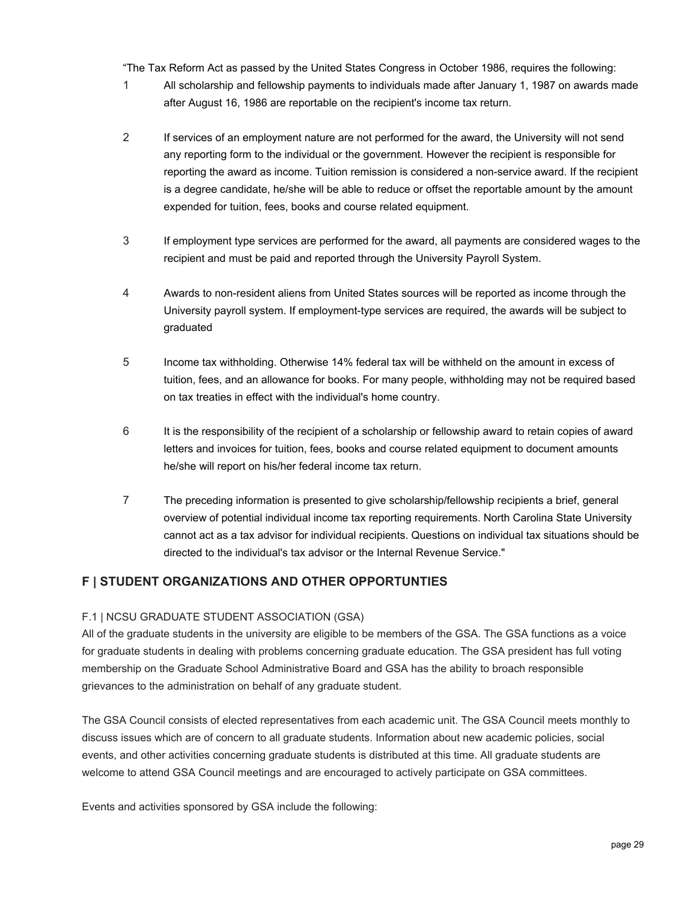"The Tax Reform Act as passed by the United States Congress in October 1986, requires the following:

- 1 All scholarship and fellowship payments to individuals made after January 1, 1987 on awards made after August 16, 1986 are reportable on the recipient's income tax return.
- 2 If services of an employment nature are not performed for the award, the University will not send any reporting form to the individual or the government. However the recipient is responsible for reporting the award as income. Tuition remission is considered a non-service award. If the recipient is a degree candidate, he/she will be able to reduce or offset the reportable amount by the amount expended for tuition, fees, books and course related equipment.
- 3 If employment type services are performed for the award, all payments are considered wages to the recipient and must be paid and reported through the University Payroll System.
- 4 Awards to non-resident aliens from United States sources will be reported as income through the University payroll system. If employment-type services are required, the awards will be subject to graduated
- 5 Income tax withholding. Otherwise 14% federal tax will be withheld on the amount in excess of tuition, fees, and an allowance for books. For many people, withholding may not be required based on tax treaties in effect with the individual's home country.
- 6 It is the responsibility of the recipient of a scholarship or fellowship award to retain copies of award letters and invoices for tuition, fees, books and course related equipment to document amounts he/she will report on his/her federal income tax return.
- 7 The preceding information is presented to give scholarship/fellowship recipients a brief, general overview of potential individual income tax reporting requirements. North Carolina State University cannot act as a tax advisor for individual recipients. Questions on individual tax situations should be directed to the individual's tax advisor or the Internal Revenue Service."

## **F | STUDENT ORGANIZATIONS AND OTHER OPPORTUNTIES**

#### F.1 | NCSU GRADUATE STUDENT ASSOCIATION (GSA)

All of the graduate students in the university are eligible to be members of the GSA. The GSA functions as a voice for graduate students in dealing with problems concerning graduate education. The GSA president has full voting membership on the Graduate School Administrative Board and GSA has the ability to broach responsible grievances to the administration on behalf of any graduate student.

The GSA Council consists of elected representatives from each academic unit. The GSA Council meets monthly to discuss issues which are of concern to all graduate students. Information about new academic policies, social events, and other activities concerning graduate students is distributed at this time. All graduate students are welcome to attend GSA Council meetings and are encouraged to actively participate on GSA committees.

Events and activities sponsored by GSA include the following: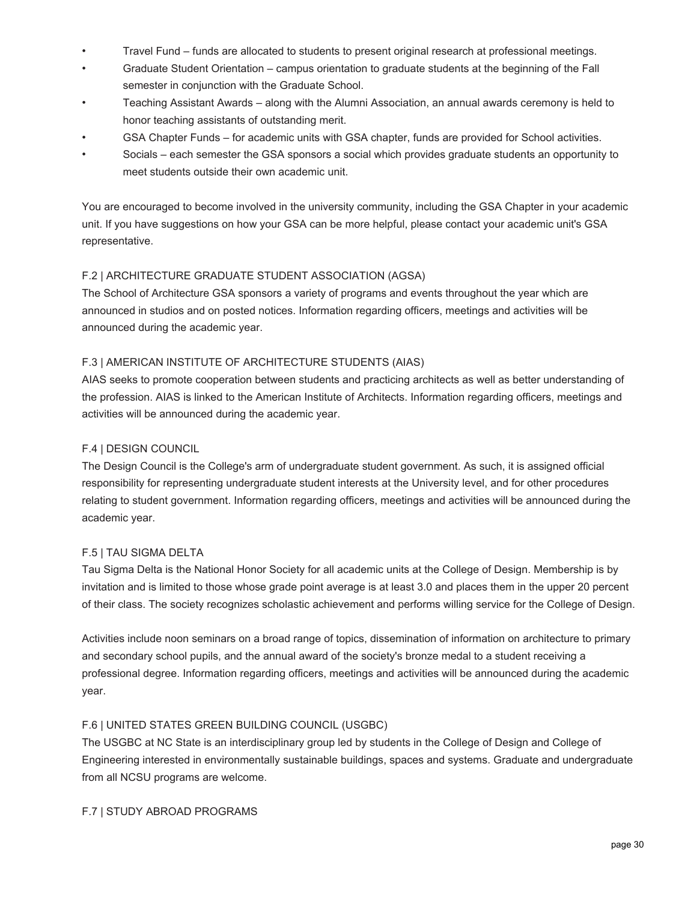- Travel Fund funds are allocated to students to present original research at professional meetings.
- Graduate Student Orientation campus orientation to graduate students at the beginning of the Fall semester in conjunction with the Graduate School.
- Teaching Assistant Awards along with the Alumni Association, an annual awards ceremony is held to honor teaching assistants of outstanding merit.
- GSA Chapter Funds for academic units with GSA chapter, funds are provided for School activities.
- Socials each semester the GSA sponsors a social which provides graduate students an opportunity to meet students outside their own academic unit.

You are encouraged to become involved in the university community, including the GSA Chapter in your academic unit. If you have suggestions on how your GSA can be more helpful, please contact your academic unit's GSA representative.

#### F.2 | ARCHITECTURE GRADUATE STUDENT ASSOCIATION (AGSA)

The School of Architecture GSA sponsors a variety of programs and events throughout the year which are announced in studios and on posted notices. Information regarding officers, meetings and activities will be announced during the academic year.

#### F.3 | AMERICAN INSTITUTE OF ARCHITECTURE STUDENTS (AIAS)

AIAS seeks to promote cooperation between students and practicing architects as well as better understanding of the profession. AIAS is linked to the American Institute of Architects. Information regarding officers, meetings and activities will be announced during the academic year.

#### F.4 | DESIGN COUNCIL

The Design Council is the College's arm of undergraduate student government. As such, it is assigned official responsibility for representing undergraduate student interests at the University level, and for other procedures relating to student government. Information regarding officers, meetings and activities will be announced during the academic year.

#### F.5 | TAU SIGMA DELTA

Tau Sigma Delta is the National Honor Society for all academic units at the College of Design. Membership is by invitation and is limited to those whose grade point average is at least 3.0 and places them in the upper 20 percent of their class. The society recognizes scholastic achievement and performs willing service for the College of Design.

Activities include noon seminars on a broad range of topics, dissemination of information on architecture to primary and secondary school pupils, and the annual award of the society's bronze medal to a student receiving a professional degree. Information regarding officers, meetings and activities will be announced during the academic year.

#### F.6 | UNITED STATES GREEN BUILDING COUNCIL (USGBC)

The USGBC at NC State is an interdisciplinary group led by students in the College of Design and College of Engineering interested in environmentally sustainable buildings, spaces and systems. Graduate and undergraduate from all NCSU programs are welcome.

#### F.7 | STUDY ABROAD PROGRAMS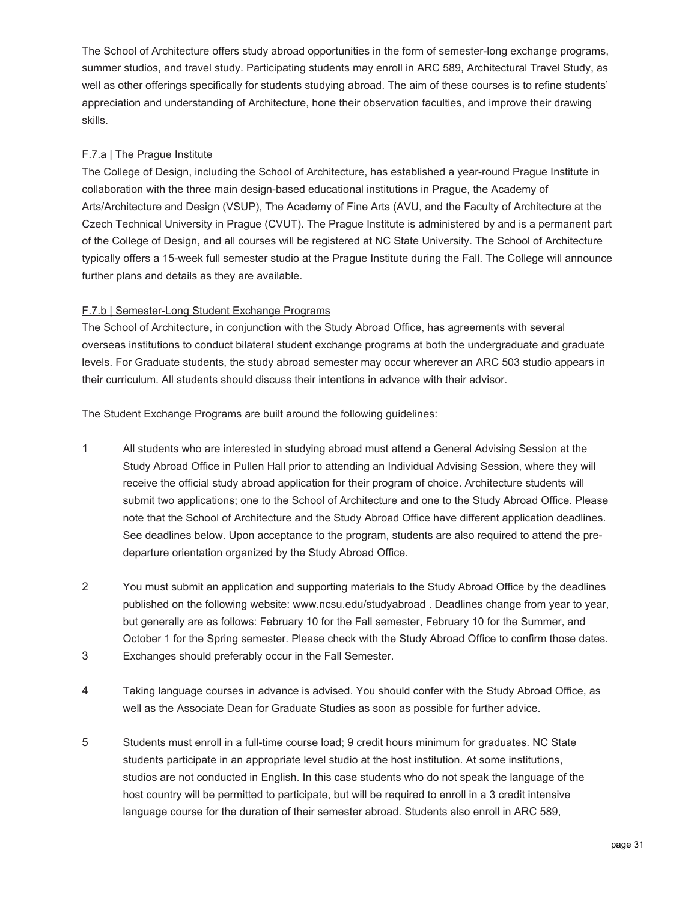The School of Architecture offers study abroad opportunities in the form of semester-long exchange programs, summer studios, and travel study. Participating students may enroll in ARC 589, Architectural Travel Study, as well as other offerings specifically for students studying abroad. The aim of these courses is to refine students' appreciation and understanding of Architecture, hone their observation faculties, and improve their drawing skills.

#### F.7.a | The Prague Institute

The College of Design, including the School of Architecture, has established a year-round Prague Institute in collaboration with the three main design-based educational institutions in Prague, the Academy of Arts/Architecture and Design (VSUP), The Academy of Fine Arts (AVU, and the Faculty of Architecture at the Czech Technical University in Prague (CVUT). The Prague Institute is administered by and is a permanent part of the College of Design, and all courses will be registered at NC State University. The School of Architecture typically offers a 15-week full semester studio at the Prague Institute during the Fall. The College will announce further plans and details as they are available.

#### F.7.b | Semester-Long Student Exchange Programs

The School of Architecture, in conjunction with the Study Abroad Office, has agreements with several overseas institutions to conduct bilateral student exchange programs at both the undergraduate and graduate levels. For Graduate students, the study abroad semester may occur wherever an ARC 503 studio appears in their curriculum. All students should discuss their intentions in advance with their advisor.

The Student Exchange Programs are built around the following guidelines:

- 1 All students who are interested in studying abroad must attend a General Advising Session at the Study Abroad Office in Pullen Hall prior to attending an Individual Advising Session, where they will receive the official study abroad application for their program of choice. Architecture students will submit two applications; one to the School of Architecture and one to the Study Abroad Office. Please note that the School of Architecture and the Study Abroad Office have different application deadlines. See deadlines below. Upon acceptance to the program, students are also required to attend the predeparture orientation organized by the Study Abroad Office.
- 2 You must submit an application and supporting materials to the Study Abroad Office by the deadlines published on the following website: www.ncsu.edu/studyabroad . Deadlines change from year to year, but generally are as follows: February 10 for the Fall semester, February 10 for the Summer, and October 1 for the Spring semester. Please check with the Study Abroad Office to confirm those dates.
- 3 Exchanges should preferably occur in the Fall Semester.
- 4 Taking language courses in advance is advised. You should confer with the Study Abroad Office, as well as the Associate Dean for Graduate Studies as soon as possible for further advice.
- 5 Students must enroll in a full-time course load; 9 credit hours minimum for graduates. NC State students participate in an appropriate level studio at the host institution. At some institutions, studios are not conducted in English. In this case students who do not speak the language of the host country will be permitted to participate, but will be required to enroll in a 3 credit intensive language course for the duration of their semester abroad. Students also enroll in ARC 589,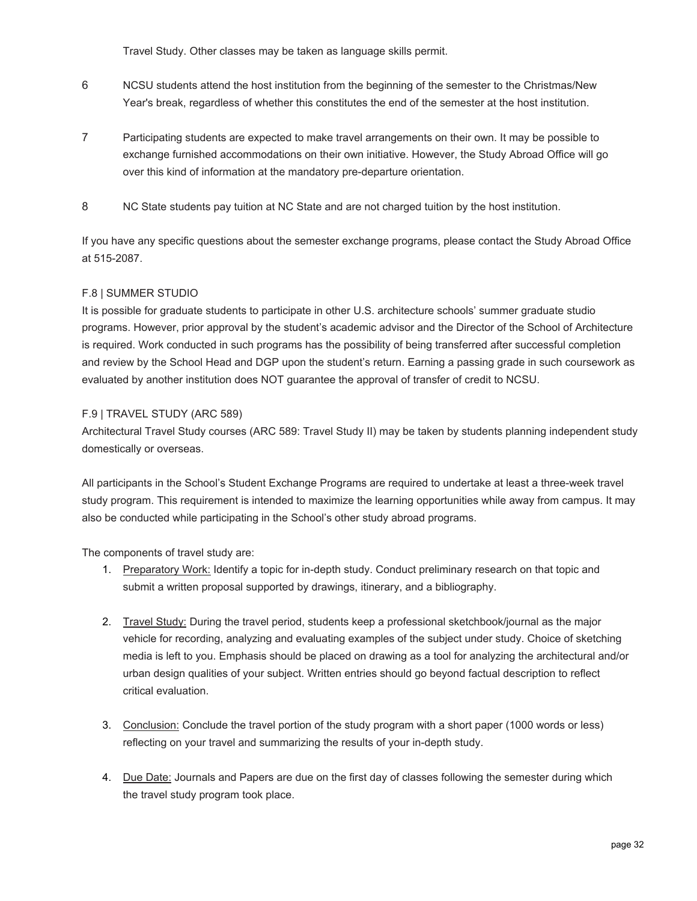Travel Study. Other classes may be taken as language skills permit.

- 6 NCSU students attend the host institution from the beginning of the semester to the Christmas/New Year's break, regardless of whether this constitutes the end of the semester at the host institution.
- 7 Participating students are expected to make travel arrangements on their own. It may be possible to exchange furnished accommodations on their own initiative. However, the Study Abroad Office will go over this kind of information at the mandatory pre-departure orientation.
- 8 NC State students pay tuition at NC State and are not charged tuition by the host institution.

If you have any specific questions about the semester exchange programs, please contact the Study Abroad Office at 515-2087.

#### F.8 | SUMMER STUDIO

It is possible for graduate students to participate in other U.S. architecture schools' summer graduate studio programs. However, prior approval by the student's academic advisor and the Director of the School of Architecture is required. Work conducted in such programs has the possibility of being transferred after successful completion and review by the School Head and DGP upon the student's return. Earning a passing grade in such coursework as evaluated by another institution does NOT guarantee the approval of transfer of credit to NCSU.

#### F.9 | TRAVEL STUDY (ARC 589)

Architectural Travel Study courses (ARC 589: Travel Study II) may be taken by students planning independent study domestically or overseas.

All participants in the School's Student Exchange Programs are required to undertake at least a three-week travel study program. This requirement is intended to maximize the learning opportunities while away from campus. It may also be conducted while participating in the School's other study abroad programs.

The components of travel study are:

- 1. Preparatory Work: Identify a topic for in-depth study. Conduct preliminary research on that topic and submit a written proposal supported by drawings, itinerary, and a bibliography.
- 2. Travel Study: During the travel period, students keep a professional sketchbook/journal as the major vehicle for recording, analyzing and evaluating examples of the subject under study. Choice of sketching media is left to you. Emphasis should be placed on drawing as a tool for analyzing the architectural and/or urban design qualities of your subject. Written entries should go beyond factual description to reflect critical evaluation.
- 3. Conclusion: Conclude the travel portion of the study program with a short paper (1000 words or less) reflecting on your travel and summarizing the results of your in-depth study.
- 4. Due Date: Journals and Papers are due on the first day of classes following the semester during which the travel study program took place.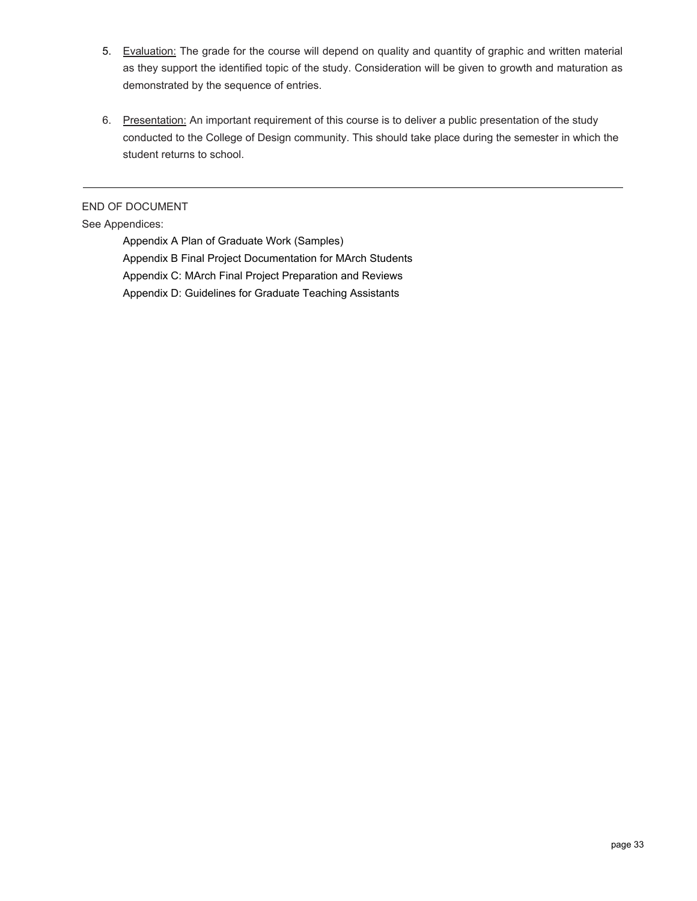- 5. Evaluation: The grade for the course will depend on quality and quantity of graphic and written material as they support the identified topic of the study. Consideration will be given to growth and maturation as demonstrated by the sequence of entries.
- 6. Presentation: An important requirement of this course is to deliver a public presentation of the study conducted to the College of Design community. This should take place during the semester in which the student returns to school.

END OF DOCUMENT

#### See Appendices:

Appendix A Plan of Graduate Work (Samples) Appendix B Final Project Documentation for MArch Students Appendix C: MArch Final Project Preparation and Reviews Appendix D: Guidelines for Graduate Teaching Assistants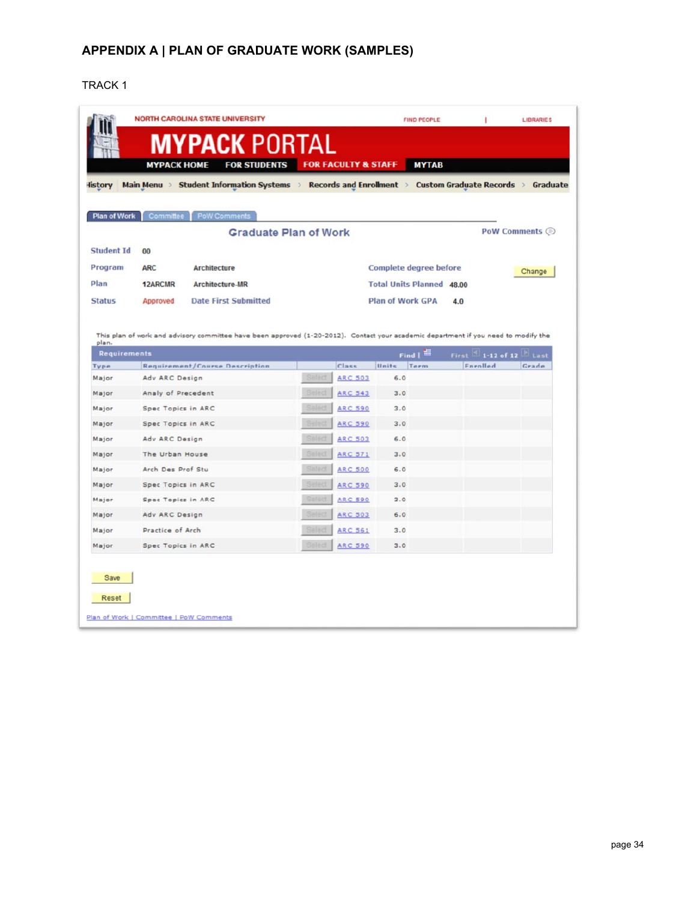## **APPENDIX A | PLAN OF GRADUATE WORK (SAMPLES)**

#### [TRACK 1](#page-19-0)

|                                                                      |                                          |                                                                                                                                     |                  |                                  | Main Menu > Student Information Systems > Records and Enrollment > Custom Graduate Records > |     |                       | Graduate |
|----------------------------------------------------------------------|------------------------------------------|-------------------------------------------------------------------------------------------------------------------------------------|------------------|----------------------------------|----------------------------------------------------------------------------------------------|-----|-----------------------|----------|
|                                                                      |                                          |                                                                                                                                     |                  |                                  |                                                                                              |     |                       |          |
| <b>Plan of Work</b>                                                  | Committee                                | <b>PoW Comments</b><br><b>Graduate Plan of Work</b>                                                                                 |                  |                                  |                                                                                              |     | PoW Comments (        |          |
| <b>Student Id</b>                                                    | 00                                       |                                                                                                                                     |                  |                                  |                                                                                              |     |                       |          |
| Program                                                              | <b>ARC</b>                               | <b>Architecture</b>                                                                                                                 |                  |                                  | Complete degree before                                                                       |     |                       |          |
| Plan                                                                 | <b>12ARCMR</b>                           | <b>Architecture-MR</b>                                                                                                              |                  |                                  | <b>Total Units Planned 48.00</b>                                                             |     |                       | Change   |
| <b>Status</b>                                                        | Approved                                 | <b>Date First Submitted</b>                                                                                                         |                  |                                  | <b>Plan of Work GPA</b>                                                                      | 4.0 |                       |          |
|                                                                      |                                          |                                                                                                                                     |                  |                                  |                                                                                              |     |                       |          |
| plan.                                                                |                                          | This plan of work and advisory committee have been approved (1-20-2012). Contact your academic department if you need to modify the |                  |                                  |                                                                                              |     |                       |          |
| <b>Requirements</b>                                                  |                                          |                                                                                                                                     |                  |                                  |                                                                                              |     |                       |          |
|                                                                      |                                          |                                                                                                                                     |                  |                                  | Find $\parallel$ $\frac{1}{100}$                                                             |     | First 1-12 of 12 Last |          |
|                                                                      |                                          | <b>Requirement/Course Description</b>                                                                                               |                  | Class                            | Units<br>Term                                                                                |     | Enrolled              | Grade    |
| Type<br>Major                                                        | Adv ARC Design                           |                                                                                                                                     | Select           | <b>ARC 503</b>                   | 6.0                                                                                          |     |                       |          |
| Major                                                                | Analy of Precedent                       |                                                                                                                                     | Select<br>Select | <b>ARC 543</b>                   | 3.0                                                                                          |     |                       |          |
|                                                                      | Spec Topics in ARC<br>Spec Topics in ARC |                                                                                                                                     | Salect           | <b>ARC 590</b><br><b>ARC 590</b> | 3.0<br>3.0                                                                                   |     |                       |          |
|                                                                      | Adv ARC Design                           |                                                                                                                                     | Select           | <b>ARC 503</b>                   | 6.0                                                                                          |     |                       |          |
|                                                                      | The Urban House                          |                                                                                                                                     | Select           | <b>ARC 571</b>                   | 3.0                                                                                          |     |                       |          |
|                                                                      | Arch Des Prof Stu                        |                                                                                                                                     | Select           | <b>ARC 500</b>                   | 6.0                                                                                          |     |                       |          |
|                                                                      | Spec Topics in ARC                       |                                                                                                                                     | Select           | <b>ARC 590</b>                   | 3.0                                                                                          |     |                       |          |
|                                                                      | Spec Topics in ARC                       |                                                                                                                                     | Select           | <b>ARC 590</b>                   | 3.0                                                                                          |     |                       |          |
| Major<br>Major<br>Major<br>Major<br>Major<br>Major<br>Major<br>Major | Adv ARC Design                           |                                                                                                                                     | Select           | <b>ARC 503</b>                   | 6.0                                                                                          |     |                       |          |
| Major                                                                | Practice of Arch                         |                                                                                                                                     | Select           | <b>ARC 561</b>                   | 3.0                                                                                          |     |                       |          |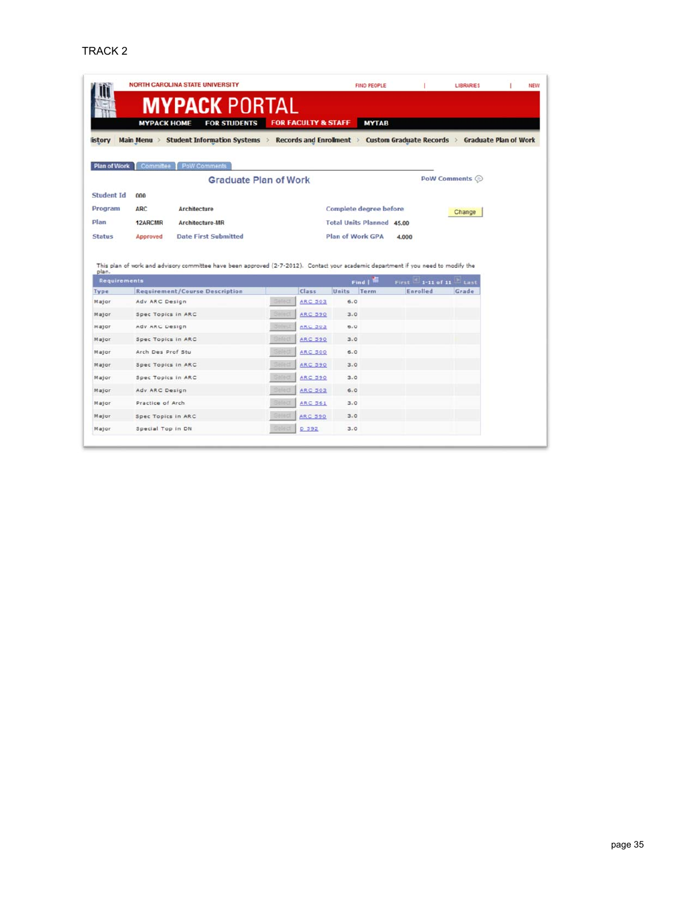|                                           |                    | <b>NORTH CAROLINA STATE UNIVERSITY</b>                                                                                             |               |                                |                  | <b>FIND PEOPLE</b>               |       |          | <b>LIBRARIES</b>               |                              |
|-------------------------------------------|--------------------|------------------------------------------------------------------------------------------------------------------------------------|---------------|--------------------------------|------------------|----------------------------------|-------|----------|--------------------------------|------------------------------|
|                                           |                    | <b>MYPACK PORTAL</b>                                                                                                               |               |                                |                  |                                  |       |          |                                |                              |
|                                           | <b>МҮРАСК НОМЕ</b> | <b>FOR STUDENTS</b>                                                                                                                |               | <b>FOR FACULTY &amp; STAFF</b> |                  | <b>MYTAB</b>                     |       |          |                                |                              |
|                                           |                    |                                                                                                                                    |               |                                |                  |                                  |       |          |                                |                              |
| <b>istory</b>                             | Main Menu          | Student Information Systems > Records and Enrollment > Custom Graduate Records >                                                   |               |                                |                  |                                  |       |          |                                | <b>Graduate Plan of Work</b> |
|                                           |                    |                                                                                                                                    |               |                                |                  |                                  |       |          |                                |                              |
| <b>Plan of Work</b>                       | Committee          | PoW Comments                                                                                                                       |               |                                |                  |                                  |       |          |                                |                              |
|                                           |                    | <b>Graduate Plan of Work</b>                                                                                                       |               |                                |                  |                                  |       |          | PoW Comments $\odot$           |                              |
| <b>Student Id</b>                         | 000                |                                                                                                                                    |               |                                |                  |                                  |       |          |                                |                              |
| Program                                   | <b>ARC</b>         | Architecture                                                                                                                       |               |                                |                  | Complete degree before           |       |          | Change                         |                              |
| Plan                                      | 12ARCMR            | Architecture-MR                                                                                                                    |               |                                |                  | <b>Total Units Planned 45.00</b> |       |          |                                |                              |
| <b>Status</b>                             | Approved           | <b>Date First Submitted</b>                                                                                                        |               |                                | Plan of Work GPA |                                  | 4.000 |          |                                |                              |
|                                           |                    |                                                                                                                                    |               |                                |                  |                                  |       |          |                                |                              |
|                                           |                    |                                                                                                                                    |               |                                |                  |                                  |       |          |                                |                              |
|                                           |                    | This plan of work and advisory committee have been approved (2-7-2012). Contact your academic department if you need to modify the |               |                                |                  |                                  |       |          |                                |                              |
| plan.<br><b>Requirements</b>              |                    |                                                                                                                                    |               |                                |                  |                                  |       |          |                                |                              |
|                                           |                    | <b>Requirement/Course Description</b>                                                                                              |               | Class                          | Units            | Find   H<br>Term                 |       | Enrolled | First 1-11 of 11 Last<br>Grade |                              |
|                                           | Adv ARC Design     |                                                                                                                                    | Select        | <b>ARC 503</b>                 | 6.0              |                                  |       |          |                                |                              |
| Type<br>Major<br>Major                    | Spec Topics in ARC |                                                                                                                                    | Select        | <b>ARC 590</b>                 | 3.0              |                                  |       |          |                                |                              |
| Major                                     | Adv ARC Design     |                                                                                                                                    | Select        | <b>ARC 503</b>                 | 6.0              |                                  |       |          |                                |                              |
| Major                                     | Spec Topics in ARC |                                                                                                                                    | <b>Select</b> | <b>ARC 590</b>                 | 3.0              |                                  |       |          |                                |                              |
| Major                                     | Arch Des Prof Stu  |                                                                                                                                    | Select        | <b>ARC 500</b>                 | 6.0              |                                  |       |          |                                |                              |
|                                           | Spec Topics in ARC |                                                                                                                                    | Select        | <b>ARC 590</b>                 | 3.0              |                                  |       |          |                                |                              |
|                                           | Spec Topics in ARC |                                                                                                                                    | Select        | <b>ARC 590</b>                 | 3.0              |                                  |       |          |                                |                              |
|                                           | Adv ARC Design     |                                                                                                                                    | Select        | <b>ARC 503</b>                 | 6.0              |                                  |       |          |                                |                              |
|                                           | Practice of Arch   |                                                                                                                                    | Select        | <b>ARC 561</b>                 | 3.0              |                                  |       |          |                                |                              |
| Major<br>Major<br>Major<br>Major<br>Major | Spec Topics in ARC |                                                                                                                                    | Select        | <b>ARC 590</b>                 | 3.0              |                                  |       |          |                                |                              |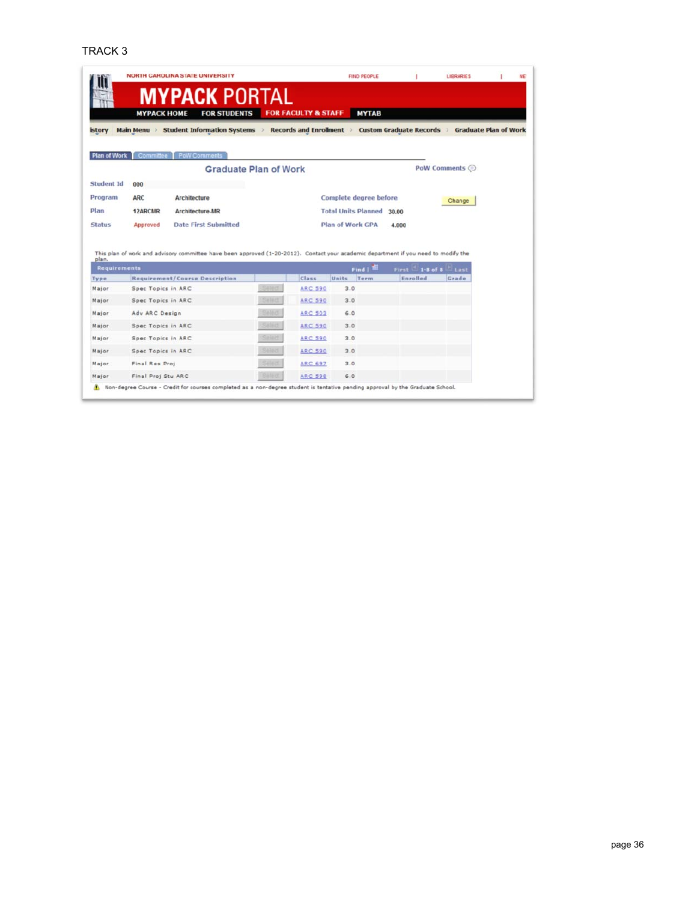#### TRACK 3

|                                        |                    | <b>NORTH CAROLINA STATE UNIVERSITY</b>                                                                                              |                              |                                |                               | <b>FIND PEOPLE</b> |                   | <b>LIBRARIES</b>          |  |
|----------------------------------------|--------------------|-------------------------------------------------------------------------------------------------------------------------------------|------------------------------|--------------------------------|-------------------------------|--------------------|-------------------|---------------------------|--|
|                                        |                    | <b>MYPACK PORTAL</b>                                                                                                                |                              |                                |                               |                    |                   |                           |  |
|                                        | <b>МҮРАСК НОМЕ</b> | <b>FOR STUDENTS</b>                                                                                                                 |                              | <b>FOR FACULTY &amp; STAFF</b> |                               | <b>MYTAB</b>       |                   |                           |  |
| istory                                 |                    | Main Menu > Student Information Systems > Records and Enrollment > Custom Graduate Records > Graduate Plan of Work                  |                              |                                |                               |                    |                   |                           |  |
|                                        |                    |                                                                                                                                     |                              |                                |                               |                    |                   |                           |  |
| <b>Plan of Work</b>                    |                    | Committee   PoW Comments                                                                                                            |                              |                                |                               |                    |                   |                           |  |
|                                        |                    |                                                                                                                                     | <b>Graduate Plan of Work</b> |                                |                               |                    |                   | PoW Comments <sup>©</sup> |  |
| <b>Student Id</b>                      | 000                |                                                                                                                                     |                              |                                |                               |                    |                   |                           |  |
| Program                                | <b>ARC</b>         | Architecture                                                                                                                        |                              |                                | <b>Complete degree before</b> |                    |                   |                           |  |
|                                        |                    |                                                                                                                                     |                              |                                |                               |                    |                   | Change                    |  |
|                                        |                    |                                                                                                                                     |                              |                                |                               |                    |                   |                           |  |
|                                        | 12ARCMR            | <b>Architecture-MR</b>                                                                                                              |                              |                                | <b>Total Units Planned</b>    |                    | 30.00             |                           |  |
|                                        | Approved           | <b>Date First Submitted</b>                                                                                                         |                              |                                | <b>Plan of Work GPA</b>       |                    | 4.000             |                           |  |
|                                        |                    | This plan of work and advisory committee have been approved (1-20-2012). Contact your academic department if you need to modify the |                              |                                |                               |                    |                   |                           |  |
| plan.<br><b>Requirements</b>           |                    |                                                                                                                                     |                              |                                |                               | $Find \frac{1}{2}$ | $First -1-8 of 8$ | <b>El Last</b>            |  |
| Plan<br><b>Status</b><br>Type<br>Major | Spec Topics in ARC | <b>Requirement/Course Description</b>                                                                                               | Select                       | Class<br><b>ARC 590</b>        | Units<br>3.0                  | Term               | Enrolled          | Grade                     |  |
| Major                                  | Spec Topics in ARC |                                                                                                                                     | $-0.1017$                    | <b>ARC 590</b>                 | 3.0                           |                    |                   |                           |  |
| Major                                  | Adv ARC Design     |                                                                                                                                     |                              | <b>ARC 503</b>                 | 6.0                           |                    |                   |                           |  |
| Major                                  | Spec Topics in ARC |                                                                                                                                     |                              | <b>ARC 590</b>                 | 3.0                           |                    |                   |                           |  |
|                                        | Spec Topics in ARC |                                                                                                                                     |                              | <b>ARC 590</b>                 | 3.0                           |                    |                   |                           |  |
| Major<br>Major                         | Spec Topics in ARC |                                                                                                                                     |                              | <b>ARC 590</b>                 | 3.0                           |                    |                   |                           |  |
| Major                                  | Final Res Proj     |                                                                                                                                     |                              | <b>ARC 697</b>                 | 3.0                           |                    |                   |                           |  |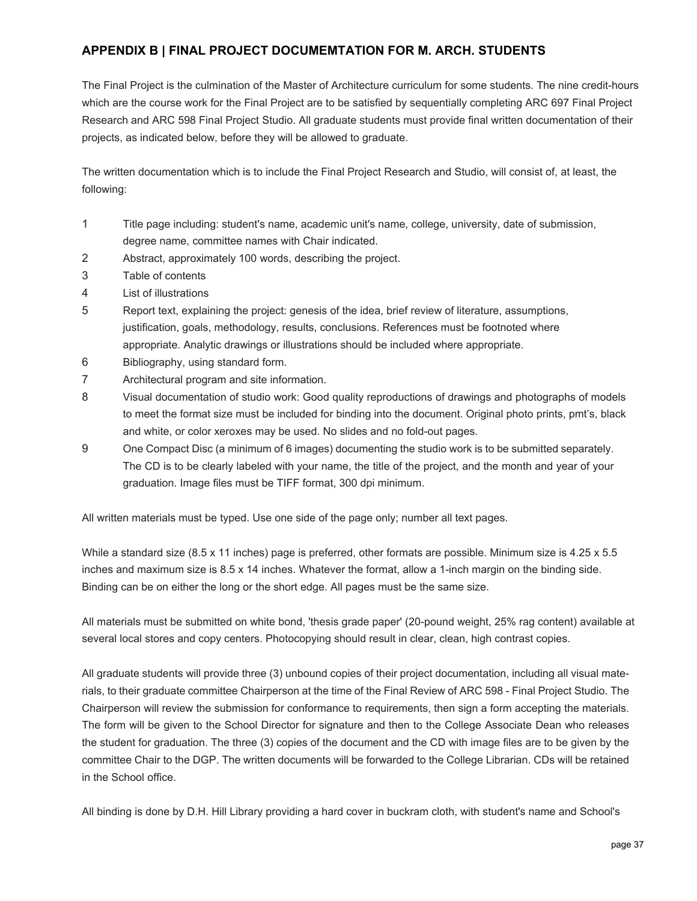## **APPENDIX B | FINAL PROJECT DOCUMEMTATION FOR M. ARCH. STUDENTS**

The Final Project is the culmination of the Master of Architecture curriculum for some students. The nine credit-hours which are the course work for the Final Project are to be satisfied by sequentially completing ARC 697 Final Project Research and ARC 598 Final Project Studio. All graduate students must provide final written documentation of their projects, as indicated below, before they will be allowed to graduate.

The written documentation which is to include the Final Project Research and Studio, will consist of, at least, the following:

- 1 Title page including: student's name, academic unit's name, college, university, date of submission, degree name, committee names with Chair indicated.
- 2 Abstract, approximately 100 words, describing the project.
- 3 Table of contents
- 4 List of illustrations
- 5 Report text, explaining the project: genesis of the idea, brief review of literature, assumptions, justification, goals, methodology, results, conclusions. References must be footnoted where appropriate. Analytic drawings or illustrations should be included where appropriate.
- 6 Bibliography, using standard form.
- 7 Architectural program and site information.
- 8 Visual documentation of studio work: Good quality reproductions of drawings and photographs of models to meet the format size must be included for binding into the document. Original photo prints, pmt's, black and white, or color xeroxes may be used. No slides and no fold-out pages.
- The CD is to be clearly labeled with your name, the title of the project, and the month and year of your 9 One Compact Disc (a minimum of 6 images) documenting the studio work is to be submitted separately. graduation. Image files must be TIFF format, 300 dpi minimum.

All written materials must be typed. Use one side of the page only; number all text pages.

While a standard size (8.5 x 11 inches) page is preferred, other formats are possible. Minimum size is 4.25 x 5.5 inches and maximum size is 8.5 x 14 inches. Whatever the format, allow a 1-inch margin on the binding side. Binding can be on either the long or the short edge. All pages must be the same size.

All materials must be submitted on white bond, 'thesis grade paper' (20-pound weight, 25% rag content) available at several local stores and copy centers. Photocopying should result in clear, clean, high contrast copies.

 Chairperson will review the submission for conformance to requirements, then sign a form accepting the materials. The form will be given to the School Director for signature and then to the College Associate Dean who releases All graduate students will provide three (3) unbound copies of their project documentation, including all visual materials, to their graduate committee Chairperson at the time of the Final Review of ARC 598 - Final Project Studio. The the student for graduation. The three (3) copies of the document and the CD with image files are to be given by the committee Chair to the DGP. The written documents will be forwarded to the College Librarian. CDs will be retained in the School office.

All binding is done by D.H. Hill Library providing a hard cover in buckram cloth, with student's name and School's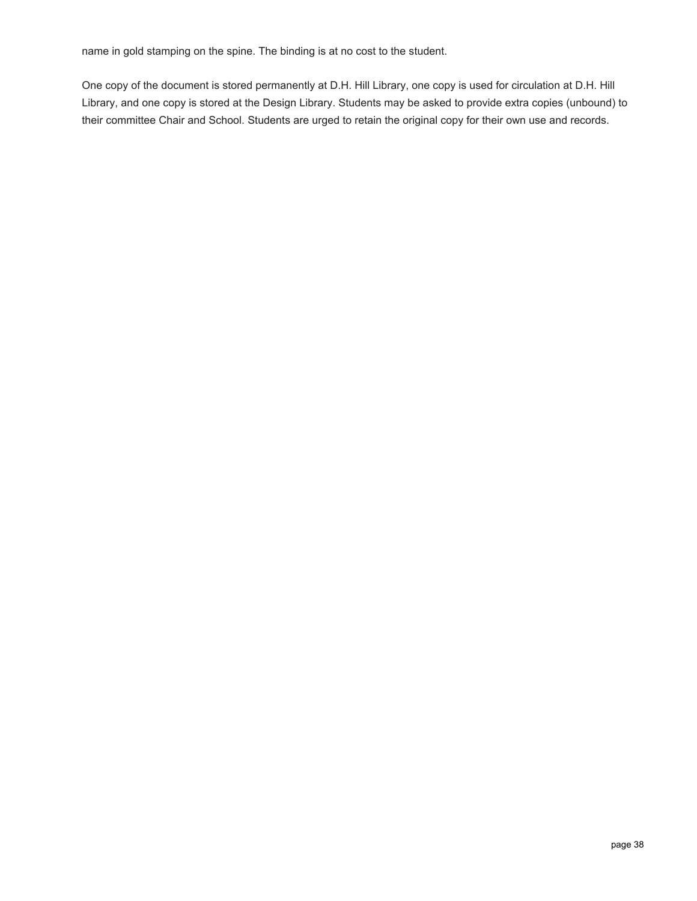name in gold stamping on the spine. The binding is at no cost to the student.

One copy of the document is stored permanently at D.H. Hill Library, one copy is used for circulation at D.H. Hill Library, and one copy is stored at the Design Library. Students may be asked to provide extra copies (unbound) to their committee Chair and School. Students are urged to retain the original copy for their own use and records.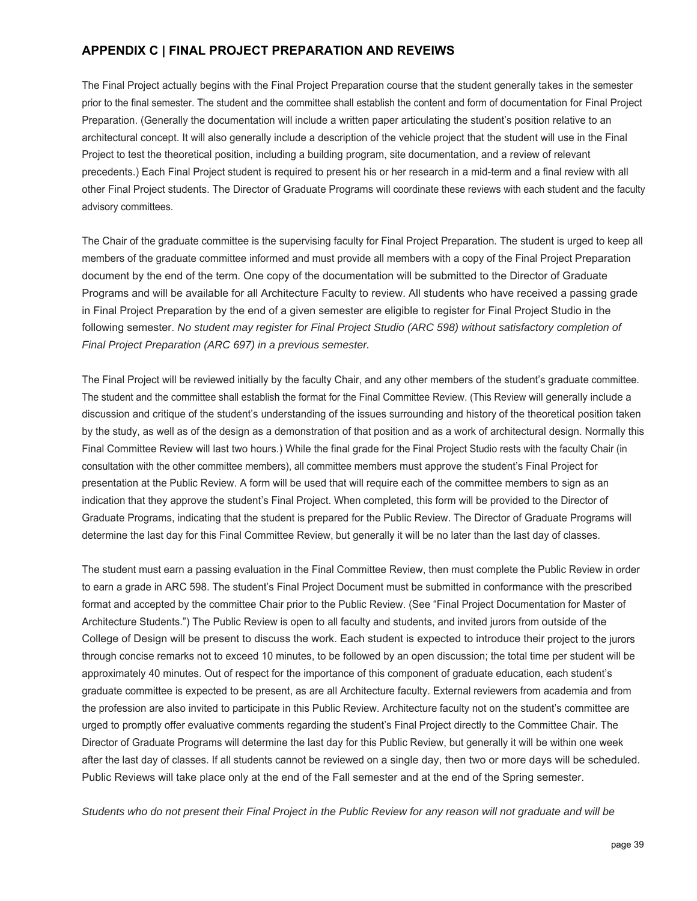## **APPENDIX C | FINAL PROJECT PREPARATION AND REVEIWS**

 The Final Project actually begins with the Final Project Preparation course that the student generally takes in the semester prior to the final semester. The student and the committee shall establish the content and form of documentation for Final Project Preparation. (Generally the documentation will include a written paper articulating the student's position relative to an architectural concept. It will also generally include a description of the vehicle project that the student will use in the Final Project to test the theoretical position, including a building program, site documentation, and a review of relevant precedents.) Each Final Project student is required to present his or her research in a mid-term and a final review with all other Final Project students. The Director of Graduate Programs will coordinate these reviews with each student and the faculty advisory committees.

The Chair of the graduate committee is the supervising faculty for Final Project Preparation. The student is urged to keep all members of the graduate committee informed and must provide all members with a copy of the Final Project Preparation document by the end of the term. One copy of the documentation will be submitted to the Director of Graduate Programs and will be available for all Architecture Faculty to review. All students who have received a passing grade in Final Project Preparation by the end of a given semester are eligible to register for Final Project Studio in the following semester. *No student may register for Final Project Studio (ARC 598) without satisfactory completion of Final Project Preparation (ARC 697) in a previous semester.* 

The Final Project will be reviewed initially by the faculty Chair, and any other members of the student's graduate committee. The student and the committee shall establish the format for the Final Committee Review. (This Review will generally include a discussion and critique of the student's understanding of the issues surrounding and history of the theoretical position taken by the study, as well as of the design as a demonstration of that position and as a work of architectural design. Normally this Final Committee Review will last two hours.) While the final grade for the Final Project Studio rests with the faculty Chair (in consultation with the other committee members), all committee members must approve the student's Final Project for presentation at the Public Review. A form will be used that will require each of the committee members to sign as an indication that they approve the student's Final Project. When completed, this form will be provided to the Director of Graduate Programs, indicating that the student is prepared for the Public Review. The Director of Graduate Programs will determine the last day for this Final Committee Review, but generally it will be no later than the last day of classes.

The student must earn a passing evaluation in the Final Committee Review, then must complete the Public Review in order to earn a grade in ARC 598. The student's Final Project Document must be submitted in conformance with the prescribed format and accepted by the committee Chair prior to the Public Review. (See "Final Project Documentation for Master of Architecture Students.") The Public Review is open to all faculty and students, and invited jurors from outside of the College of Design will be present to discuss the work. Each student is expected to introduce their project to the jurors through concise remarks not to exceed 10 minutes, to be followed by an open discussion; the total time per student will be approximately 40 minutes. Out of respect for the importance of this component of graduate education, each student's graduate committee is expected to be present, as are all Architecture faculty. External reviewers from academia and from the profession are also invited to participate in this Public Review. Architecture faculty not on the student's committee are urged to promptly offer evaluative comments regarding the student's Final Project directly to the Committee Chair. The Director of Graduate Programs will determine the last day for this Public Review, but generally it will be within one week after the last day of classes. If all students cannot be reviewed on a single day, then two or more days will be scheduled. Public Reviews will take place only at the end of the Fall semester and at the end of the Spring semester.

*Students who do not present their Final Project in the Public Review for any reason will not graduate and will be*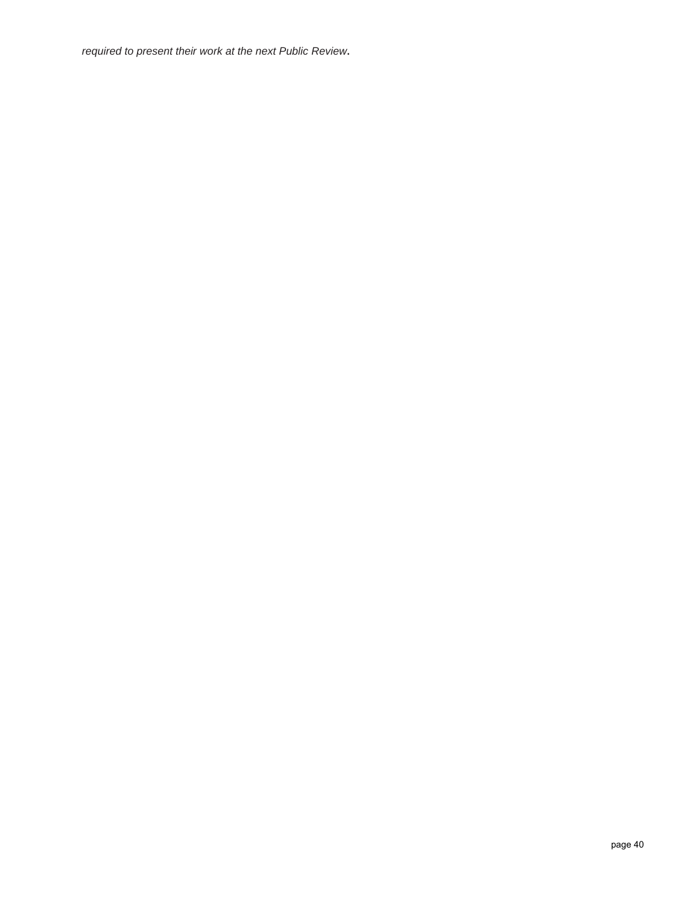*required to present their work at the next Public Review***.**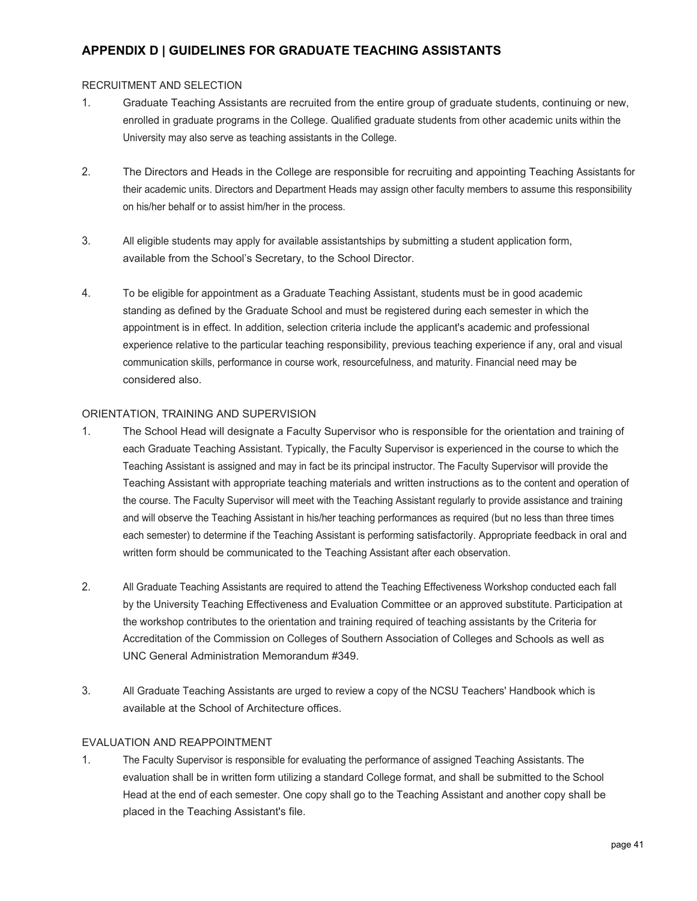## **APPENDIX D | GUIDELINES FOR GRADUATE TEACHING ASSISTANTS**

#### RECRUITMENT AND SELECTION

- 1. Graduate Teaching Assistants are recruited from the entire group of graduate students, continuing or new, enrolled in graduate programs in the College. Qualified graduate students from other academic units within the University may also serve as teaching assistants in the College.
- 2. The Directors and Heads in the College are responsible for recruiting and appointing Teaching Assistants for their academic units. Directors and Department Heads may assign other faculty members to assume this responsibility on his/her behalf or to assist him/her in the process.
- 3. All eligible students may apply for available assistantships by submitting a student application form, available from the School's Secretary, to the School Director.
- 4. To be eligible for appointment as a Graduate Teaching Assistant, students must be in good academic standing as defined by the Graduate School and must be registered during each semester in which the appointment is in effect. In addition, selection criteria include the applicant's academic and professional experience relative to the particular teaching responsibility, previous teaching experience if any, oral and visual communication skills, performance in course work, resourcefulness, and maturity. Financial need may be considered also.

#### ORIENTATION, TRAINING AND SUPERVISION

- 1. The School Head will designate a Faculty Supervisor who is responsible for the orientation and training of each Graduate Teaching Assistant. Typically, the Faculty Supervisor is experienced in the course to which the Teaching Assistant is assigned and may in fact be its principal instructor. The Faculty Supervisor will provide the Teaching Assistant with appropriate teaching materials and written instructions as to the content and operation of the course. The Faculty Supervisor will meet with the Teaching Assistant regularly to provide assistance and training and will observe the Teaching Assistant in his/her teaching performances as required (but no less than three times each semester) to determine if the Teaching Assistant is performing satisfactorily. Appropriate feedback in oral and written form should be communicated to the Teaching Assistant after each observation.
- 2. All Graduate Teaching Assistants are required to attend the Teaching Effectiveness Workshop conducted each fall by the University Teaching Effectiveness and Evaluation Committee or an approved substitute. Participation at the workshop contributes to the orientation and training required of teaching assistants by the Criteria for Accreditation of the Commission on Colleges of Southern Association of Colleges and Schools as well as UNC General Administration Memorandum #349.
- 3. All Graduate Teaching Assistants are urged to review a copy of the NCSU Teachers' Handbook which is available at the School of Architecture offices.

#### EVALUATION AND REAPPOINTMENT

1. The Faculty Supervisor is responsible for evaluating the performance of assigned Teaching Assistants. The evaluation shall be in written form utilizing a standard College format, and shall be submitted to the School Head at the end of each semester. One copy shall go to the Teaching Assistant and another copy shall be placed in the Teaching Assistant's file.